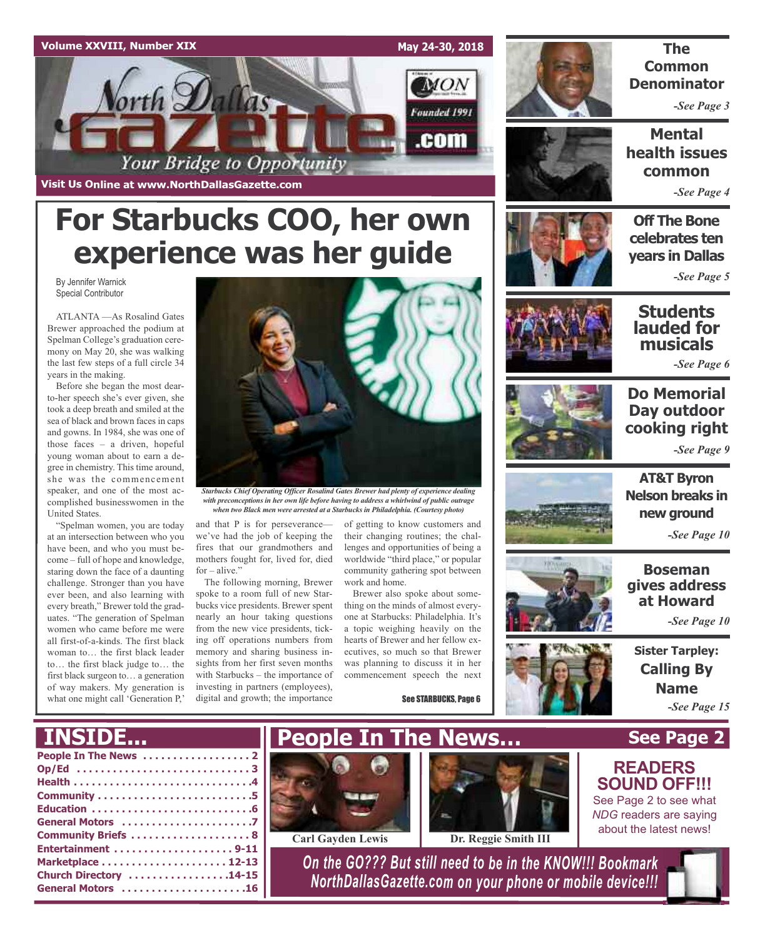

Your Bridge to Opportunity

**Visit Us Online at www.NorthDallasGazette.com**



### **The Common Denominator**

*-See Page 3*

**Mental health issues common**

*-See Page 4*

### **Off The Bone celebrates ten years in Dallas**

*-See Page 5*

By Jennifer Warnick Special Contributor

ATLANTA —As Rosalind Gates Brewer approached the podium at Spelman College's graduation ceremony on May 20, she was walking the last few steps of a full circle 34 years in the making.

Before she began the most dearto-her speech she's ever given, she took a deep breath and smiled at the sea of black and brown faces in caps and gowns. In 1984, she was one of those faces – a driven, hopeful young woman about to earn a degree in chemistry. This time around, she was the commencement speaker, and one of the most accomplished businesswomen in the United States.

"Spelman women, you are today at an intersection between who you have been, and who you must become – full of hope and knowledge, staring down the face of a daunting challenge. Stronger than you have ever been, and also learning with every breath," Brewer told the graduates. "The generation of Spelman women who came before me were all first-of-a-kinds. The first black woman to… the first black leader to… the first black judge to… the first black surgeon to… a generation of way makers. My generation is what one might call 'Generation P,'



*Starbucks Chief Operating Officer Rosalind Gates Brewer had plenty of experience dealing with preconceptions in her own life before having to address a whirlwind of public outrage when two Black men were arrested at a Starbucks in Philadelphia. (Courtesy photo)*

and that P is for perseverance we've had the job of keeping the fires that our grandmothers and mothers fought for, lived for, died for – alive."

**For Starbucks COO, her own**

**experience was her guide**

The following morning, Brewer spoke to a room full of new Starbucks vice presidents. Brewer spent nearly an hour taking questions from the new vice presidents, ticking off operations numbers from memory and sharing business insights from her first seven months with Starbucks – the importance of investing in partners (employees), digital and growth; the importance

of getting to know customers and their changing routines; the challenges and opportunities of being a worldwide "third place," or popular community gathering spot between work and home.

Brewer also spoke about something on the minds of almost everyone at Starbucks: Philadelphia. It's a topic weighing heavily on the hearts of Brewer and her fellow executives, so much so that Brewer was planning to discuss it in her commencement speech the next

See STARBUCKS, Page 6



### **Students lauded for musicals**

*-See Page 6*



### **Do Memorial Day outdoor cooking right** *-See Page 9*

**AT&T Byron Nelson breaks in**

**new ground**

*-See Page 10*

**Boseman gives address**







**Calling By Name** *-See Page 15*

**See Page 2**

**READERS SOUND OFF!!!** See Page 2 to see what *NDG* readers are saying about the latest news!

### **INSIDE...**

| Op/Ed 3                |
|------------------------|
|                        |
|                        |
|                        |
|                        |
|                        |
| Entertainment 9-11     |
|                        |
| Church Directory 14-15 |
| General Motors 16      |





**Carl Gayden Lewis Dr. Reggie Smith III**

*On the GO??? But still need to be in the KNOW!!! Bookmark NorthDallasGazette.com on your phone or mobile device!!!*

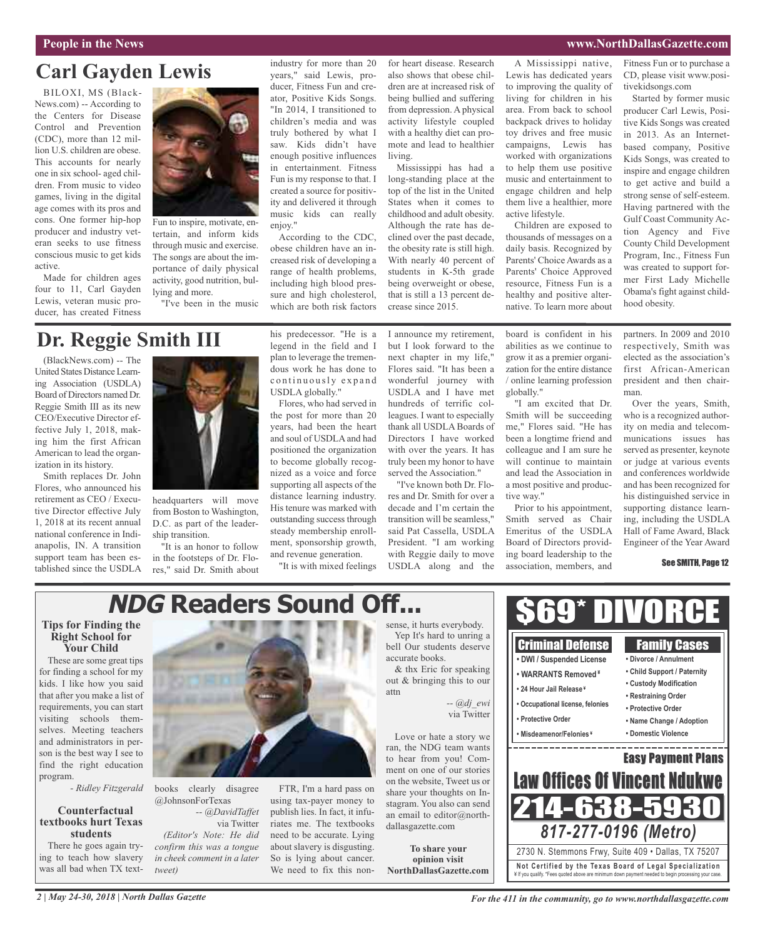### **People in the News www.NorthDallasGazette.com**

## **Carl Gayden Lewis**

BILOXI, MS (Black-News.com) -- According to the Centers for Disease Control and Prevention (CDC), more than 12 million U.S. children are obese. This accounts for nearly one in six school- aged children. From music to video games, living in the digital age comes with its pros and cons. One former hip-hop producer and industry veteran seeks to use fitness conscious music to get kids active.

Made for children ages four to 11, Carl Gayden Lewis, veteran music producer, has created Fitness



Fun to inspire, motivate, entertain, and inform kids through music and exercise. The songs are about the importance of daily physical activity, good nutrition, bullying and more.

"I've been in the music

industry for more than 20 years," said Lewis, producer, Fitness Fun and creator, Positive Kids Songs. "In 2014, I transitioned to children's media and was truly bothered by what I saw. Kids didn't have enough positive influences in entertainment. Fitness Fun is my response to that. I created a source for positivity and delivered it through music kids can really enjoy."

According to the CDC, obese children have an increased risk of developing a range of health problems, including high blood pressure and high cholesterol, which are both risk factors

for heart disease. Research also shows that obese children are at increased risk of being bullied and suffering from depression. A physical activity lifestyle coupled with a healthy diet can promote and lead to healthier living.

Mississippi has had a long-standing place at the top of the list in the United States when it comes to childhood and adult obesity. Although the rate has declined over the past decade, the obesity rate is still high. With nearly 40 percent of students in K-5th grade being overweight or obese, that is still a 13 percent decrease since 2015.

A Mississippi native, Lewis has dedicated years to improving the quality of living for children in his area. From back to school backpack drives to holiday toy drives and free music campaigns, Lewis has worked with organizations to help them use positive music and entertainment to engage children and help them live a healthier, more active lifestyle.

Children are exposed to thousands of messages on a daily basis. Recognized by Parents' Choice Awards as a Parents' Choice Approved resource, Fitness Fun is a healthy and positive alternative. To learn more about

Fitness Fun or to purchase a CD, please visit www.positivekidsongs.com

Started by former music producer Carl Lewis, Positive Kids Songs was created in 2013. As an Internetbased company, Positive Kids Songs, was created to inspire and engage children to get active and build a strong sense of self-esteem. Having partnered with the Gulf Coast Community Action Agency and Five County Child Development Program, Inc., Fitness Fun was created to support former First Lady Michelle Obama's fight against childhood obesity.

### **Dr. Reggie Smith III**

(BlackNews.com) -- The United States Distance Learning Association (USDLA) Board of Directors named Dr. Reggie Smith III as its new CEO/Executive Director effective July 1, 2018, making him the first African American to lead the organization in its history.

Smith replaces Dr. John Flores, who announced his retirement as CEO / Executive Director effective July 1, 2018 at its recent annual national conference in Indianapolis, IN. A transition support team has been established since the USDLA



headquarters will move from Boston to Washington, D.C. as part of the leadership transition.

"It is an honor to follow in the footsteps of Dr. Flores," said Dr. Smith about his predecessor. "He is a legend in the field and I plan to leverage the tremendous work he has done to continuously expand USDLA globally."

Flores, who had served in the post for more than 20 years, had been the heart and soul of USDLA and had positioned the organization to become globally recognized as a voice and force supporting all aspects of the distance learning industry. His tenure was marked with outstanding success through steady membership enrollment, sponsorship growth, and revenue generation.

"It is with mixed feelings

I announce my retirement, but I look forward to the next chapter in my life," Flores said. "It has been a wonderful journey with USDLA and I have met hundreds of terrific colleagues. I want to especially thank all USDLA Boards of Directors I have worked with over the years. It has truly been my honor to have served the Association."

"I've known both Dr. Flores and Dr. Smith for over a decade and I'm certain the transition will be seamless," said Pat Cassella, USDLA President. "I am working with Reggie daily to move USDLA along and the

board is confident in his abilities as we continue to grow it as a premier organization for the entire distance / online learning profession globally."

"I am excited that Dr. Smith will be succeeding me," Flores said. "He has been a longtime friend and colleague and I am sure he will continue to maintain and lead the Association in a most positive and productive way."

Prior to his appointment, Smith served as Chair Emeritus of the USDLA Board of Directors providing board leadership to the association, members, and

partners. In 2009 and 2010 respectively, Smith was elected as the association's first African-American president and then chairman.

Over the years, Smith, who is a recognized authority on media and telecommunications issues has served as presenter, keynote or judge at various events and conferences worldwide and has been recognized for his distinguished service in supporting distance learning, including the USDLA Hall of Fame Award, Black Engineer of the Year Award

See SMITH, Page 12

## **NDG Readers Sound Off...**

### **Tips for Finding the Right School for Your Child**

These are some great tips for finding a school for my kids. I like how you said that after you make a list of requirements, you can start visiting schools themselves. Meeting teachers and administrators in person is the best way I see to find the right education program.

*- Ridley Fitzgerald*

### **Counterfactual textbooks hurt Texas students**

There he goes again trying to teach how slavery was all bad when TX text-



books clearly disagree @JohnsonForTexas *-- @DavidTaffet* via Twitter *(Editor's Note: He did confirm this was a tongue in cheek comment in a later tweet)*

FTR, I'm a hard pass on using tax-payer money to publish lies. In fact, it infuriates me. The textbooks need to be accurate. Lying about slavery is disgusting. So is lying about cancer. We need to fix this nonsense, it hurts everybody. Yep It's hard to unring a bell Our students deserve accurate books. & thx Eric for speaking out & bringing this to our

attn *-- @dj\_ewi*

Love or hate a story we ran, the NDG team wants to hear from you! Comment on one of our stories on the website, Tweet us or share your thoughts on Instagram. You also can send an email to editor@northdallasgazette.com

**To share your opinion visit NorthDallasGazette.com**

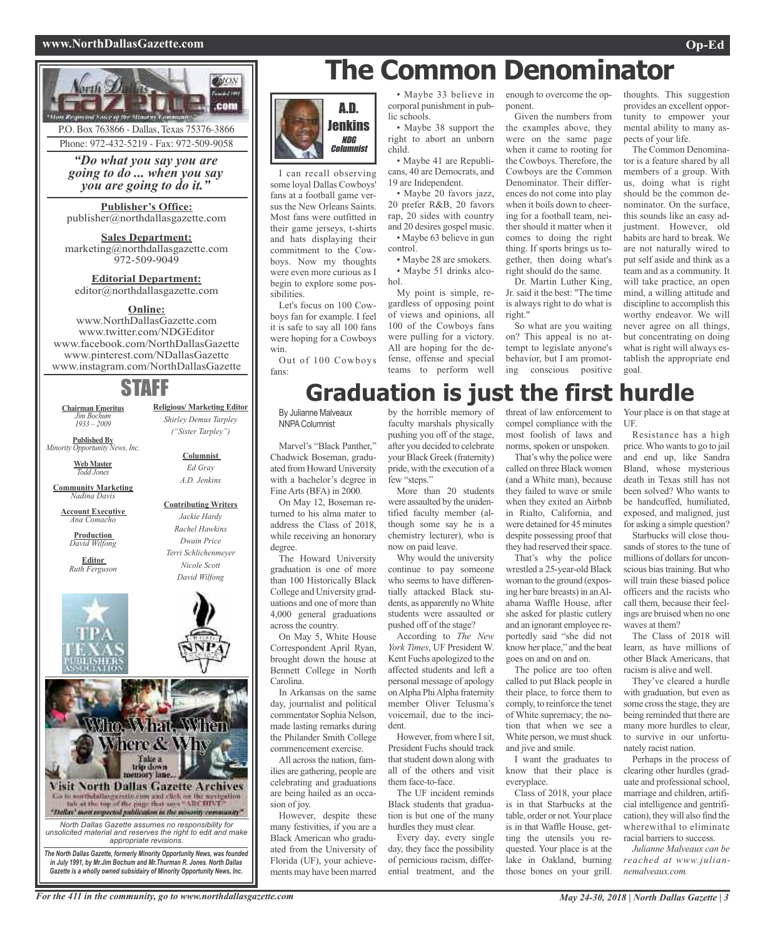### **www.NorthDallasGazette.com Op-Ed**



P.O. Box 763866 - Dallas, Texas 75376-3866 Phone: 972-432-5219 - Fax: 972-509-9058

*"Do what you say you are going to do ... when you say you are going to do it."*

**Publisher's Office:** publisher@northdallasgazette.com

**Sales Department:** marketing@northdallasgazette.com 972-509-9049

### **Editorial Department:** editor@northdallasgazette.com

### **Online:**

www.NorthDallasGazette.com www.twitter.com/NDGEditor www.facebook.com/NorthDallasGazette www.pinterest.com/NDallasGazette www.instagram.com/NorthDallasGazette

### STAFF

**Religious/ Marketing Editor** *Shirley Demus Tarpley ("Sister Tarpley")*

> **Columnist** *Ed Gray A.D. Jenkins*

**Contributing Writers** *Jackie Hardy Rachel Hawkins Dwain Price Terri Schlichenmeyer Nicole Scott David Wilfong*

**Chairman Emeritus** *Jim Bochum 1933 – 2009*

**Published By** *Minority Opportunity News, Inc.*

> **Web Master** *Todd Jones*

**Community Marketing** *Nadina Davis*

**Account Executive** *Ana Comacho*

**Production** *David Wilfong*

**Editor** *Ruth Ferguson*





*in July 1991, by Mr.Jim Bochum and Mr.Thurman R. Jones. North Dallas Gazette is a wholly owned subsidairy of Minority Opportunity News, Inc.*

## **The Common Denominator**



I can recall observing some loyal Dallas Cowboys' fans at a football game versus the New Orleans Saints. Most fans were outfitted in their game jerseys, t-shirts and hats displaying their commitment to the Cowboys. Now my thoughts were even more curious as I begin to explore some possibilities.

Let's focus on 100 Cowboys fan for example. I feel it is safe to say all 100 fans were hoping for a Cowboys win.

Out of 100 Cowboys fans:

• Maybe 33 believe in corporal punishment in public schools.

• Maybe 38 support the right to abort an unborn child.

• Maybe 41 are Republicans, 40 are Democrats, and 19 are Independent.

• Maybe 20 favors jazz, 20 prefer R&B, 20 favors rap, 20 sides with country and 20 desires gospel music. • Maybe 63 believe in gun control.

• Maybe 28 are smokers. • Maybe 51 drinks alcohol.

My point is simple, regardless of opposing point of views and opinions, all 100 of the Cowboys fans were pulling for a victory. All are hoping for the defense, offense and special teams to perform well

enough to overcome the opponent.

Given the numbers from the examples above, they were on the same page when it came to rooting for the Cowboys. Therefore, the Cowboys are the Common Denominator. Their differences do not come into play when it boils down to cheering for a football team, neither should it matter when it comes to doing the right thing. If sports brings us together, then doing what's right should do the same.

Dr. Martin Luther King, Jr. said it the best: "The time is always right to do what is right."

So what are you waiting on? This appeal is no attempt to legislate anyone's behavior, but I am promoting conscious positive

thoughts. This suggestion provides an excellent opportunity to empower your mental ability to many aspects of your life.

The Common Denominator is a feature shared by all members of a group. With us, doing what is right should be the common denominator. On the surface, this sounds like an easy adjustment. However, old habits are hard to break. We are not naturally wired to put self aside and think as a team and as a community. It will take practice, an open mind, a willing attitude and discipline to accomplish this worthy endeavor. We will never agree on all things, but concentrating on doing what is right will always establish the appropriate end goal.

## **Graduation is just the first hurdle**

By Julianne Malveaux NNPAColumnist

Marvel's "Black Panther," Chadwick Boseman, graduated from Howard University with a bachelor's degree in Fine Arts (BFA) in 2000.

On May 12, Boseman returned to his alma mater to address the Class of 2018, while receiving an honorary degree.

The Howard University graduation is one of more than 100 Historically Black College and University graduations and one of more than 4,000 general graduations across the country.

On May 5, White House Correspondent April Ryan, brought down the house at Bennett College in North Carolina.

In Arkansas on the same day, journalist and political commentator Sophia Nelson, made lasting remarks during the Philander Smith College commencement exercise.

All across the nation, families are gathering, people are celebrating and graduations are being hailed as an occasion of joy.

However, despite these many festivities, if you are a Black American who graduated from the University of Florida (UF), your achievements may have been marred

by the horrible memory of faculty marshals physically pushing you off of the stage, after you decided to celebrate your Black Greek (fraternity) pride, with the execution of a few "steps."

More than 20 students were assaulted by the unidentified faculty member (although some say he is a chemistry lecturer), who is now on paid leave.

Why would the university continue to pay someone who seems to have differentially attacked Black students, as apparently no White students were assaulted or pushed off of the stage?

According to *The New York Times*, UF President W. Kent Fuchs apologized to the affected students and left a personal message of apology onAlpha PhiAlpha fraternity member Oliver Telusma's voicemail, due to the incident.

However, from where Isit, President Fuchs should track that student down along with all of the others and visit them face-to-face.

The UF incident reminds Black students that graduation is but one of the many hurdles they must clear.

Every day, every single day, they face the possibility of pernicious racism, differential treatment, and the

threat of law enforcement to compel compliance with the most foolish of laws and norms, spoken or unspoken.

That's why the police were called on three Black women (and a White man), because they failed to wave or smile when they exited an Airbnb in Rialto, California, and were detained for 45 minutes despite possessing proof that they had reserved their space.

That's why the police wrestled a 25-year-old Black woman to the ground (exposing her bare breasts) in anAlabama Waffle House, after she asked for plastic cutlery and an ignorant employee reportedly said "she did not know her place," and the beat goes on and on and on.

The police are too often called to put Black people in their place, to force them to comply, to reinforce the tenet of White supremacy; the notion that when we see a White person, we must shuck and jive and smile.

I want the graduates to know that their place is everyplace.

Class of 2018, your place is in that Starbucks at the table, order or not.Your place is in that Waffle House, getting the utensils you requested. Your place is at the lake in Oakland, burning those bones on your grill.

Your place is on that stage at UF.

Resistance has a high price. Who wants to go to jail and end up, like Sandra Bland, whose mysterious death in Texas still has not been solved? Who wants to be handcuffed, humiliated, exposed, and maligned, just for asking a simple question?

Starbucks will close thousands of stores to the tune of millions of dollars for unconscious biastraining. But who will train these biased police officers and the racists who call them, because their feelings are bruised when no one waves at them?

The Class of 2018 will learn, as have millions of other Black Americans, that racism is alive and well.

They've cleared a hurdle with graduation, but even as some cross the stage, they are being reminded that there are many more hurdles to clear, to survive in our unfortunately racist nation.

Perhaps in the process of clearing other hurdles (graduate and professional school, marriage and children, artificial intelligence and gentrification), they will also find the wherewithal to eliminate racial barriers to success.

*Julianne Malveaux can be reached at www.juliannemalveaux.com.*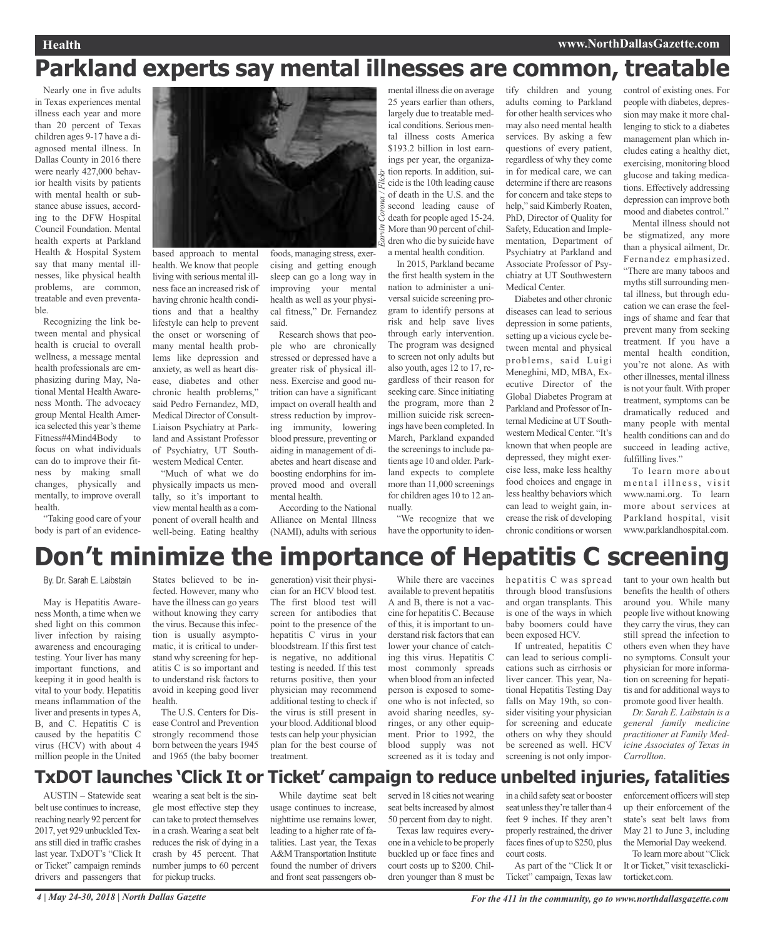### **Health www.NorthDallasGazette.com**

## **Parkland experts say mental illnesses are common, treatable**

*Earvin Corona / Flickr*

Nearly one in five adults in Texas experiences mental illness each year and more than 20 percent of Texas children ages 9-17 have a diagnosed mental illness. In Dallas County in 2016 there were nearly 427,000 behavior health visits by patients with mental health or substance abuse issues, according to the DFW Hospital Council Foundation. Mental health experts at Parkland Health & Hospital System say that many mental illnesses, like physical health problems, are common, treatable and even preventable.

Recognizing the link between mental and physical health is crucial to overall wellness, a message mental health professionals are emphasizing during May, National Mental Health Awareness Month. The advocacy group Mental Health America selected this year's theme Fitness#4Mind4Body to focus on what individuals can do to improve their fitness by making small changes, physically and mentally, to improve overall health.

"Taking good care of your body is part of an evidence-



based approach to mental health. We know that people living with serious mental illnessface an increased risk of having chronic health conditions and that a healthy lifestyle can help to prevent the onset or worsening of many mental health problems like depression and anxiety, as well as heart disease, diabetes and other chronic health problems," said Pedro Fernandez, MD, Medical Director of Consult-Liaison Psychiatry at Parkland and Assistant Professor of Psychiatry, UT Southwestern Medical Center.

"Much of what we do physically impacts us mentally, so it's important to view mental health as a component of overall health and well-being. Eating healthy

foods, managing stress, exercising and getting enough sleep can go a long way in improving your mental health as well as your physical fitness," Dr. Fernandez said.

Research shows that people who are chronically stressed or depressed have a greater risk of physical illness. Exercise and good nutrition can have a significant impact on overall health and stress reduction by improving immunity, lowering blood pressure, preventing or aiding in management of diabetes and heart disease and boosting endorphins for improved mood and overall mental health.

According to the National Alliance on Mental Illness (NAMI), adults with serious

mental illness die on average 25 years earlier than others, largely due to treatable medical conditions. Serious mental illness costs America \$193.2 billion in lost earnings per year, the organization reports. In addition, suicide isthe 10th leading cause of death in the U.S. and the second leading cause of death for people aged 15-24. More than 90 percent of children who die by suicide have a mental health condition.

In 2015, Parkland became the first health system in the nation to administer a universal suicide screening program to identify persons at risk and help save lives through early intervention. The program was designed to screen not only adults but also youth, ages 12 to 17, regardless of their reason for seeking care. Since initiating the program, more than 2 million suicide risk screenings have been completed. In March, Parkland expanded the screenings to include patients age 10 and older. Parkland expects to complete more than 11,000 screenings for children ages 10 to 12 annually.

"We recognize that we have the opportunity to identify children and young adults coming to Parkland for other health services who may also need mental health services. By asking a few questions of every patient, regardless of why they come in for medical care, we can determine if there are reasons for concern and take steps to help," said Kimberly Roaten, PhD, Director of Quality for Safety, Education and Implementation, Department of Psychiatry at Parkland and Associate Professor of Psychiatry at UT Southwestern Medical Center.

Diabetes and other chronic diseases can lead to serious depression in some patients, setting up a vicious cycle between mental and physical problems, said Luigi Meneghini, MD, MBA, Executive Director of the Global Diabetes Program at Parkland and Professor of Internal Medicine at UT Southwestern Medical Center. "It's known that when people are depressed, they might exercise less, make less healthy food choices and engage in less healthy behaviors which can lead to weight gain, increase the risk of developing chronic conditions or worsen control of existing ones. For people with diabetes, depression may make it more challenging to stick to a diabetes management plan which includes eating a healthy diet, exercising, monitoring blood glucose and taking medications. Effectively addressing depression can improve both mood and diabetes control."

Mental illness should not be stigmatized, any more than a physical ailment, Dr. Fernandez emphasized. "There are many taboos and myths still surrounding mental illness, but through education we can erase the feelings of shame and fear that prevent many from seeking treatment. If you have a mental health condition, you're not alone. As with other illnesses, mental illness is not your fault. With proper treatment, symptoms can be dramatically reduced and many people with mental health conditions can and do succeed in leading active, fulfilling lives."

To learn more about mental illness, visit www.nami.org. To learn more about services at Parkland hospital, visit www.parklandhospital.com.

# **Don't minimize the importance of Hepatitis C screening**

By. Dr. Sarah E. Laibstain

May is Hepatitis Awareness Month, a time when we shed light on this common liver infection by raising awareness and encouraging testing. Your liver has many important functions, and keeping it in good health is vital to your body. Hepatitis means inflammation of the liver and presents in types A, B, and C. Hepatitis C is caused by the hepatitis C virus (HCV) with about 4 million people in the United

States believed to be infected. However, many who have the illness can go years without knowing they carry the virus. Because this infection is usually asymptomatic, it is critical to understand why screening for hepatitis C is so important and to understand risk factors to avoid in keeping good liver health. The U.S. Centers for Dis-

ease Control and Prevention strongly recommend those born between the years 1945 and 1965 (the baby boomer

generation) visit their physician for an HCV blood test. The first blood test will screen for antibodies that point to the presence of the hepatitis C virus in your bloodstream. If this first test is negative, no additional testing is needed. If this test returns positive, then your physician may recommend additional testing to check if the virus is still present in your blood.Additional blood tests can help your physician plan for the best course of treatment.

While there are vaccines available to prevent hepatitis A and B, there is not a vaccine for hepatitis C. Because of this, it is important to understand risk factors that can lower your chance of catching this virus. Hepatitis C most commonly spreads when blood from an infected person is exposed to someone who is not infected, so avoid sharing needles, syringes, or any other equipment. Prior to 1992, the blood supply was not screened as it is today and

hepatitis C was spread through blood transfusions and organ transplants. This is one of the ways in which baby boomers could have been exposed HCV.

If untreated, hepatitis C can lead to serious complications such as cirrhosis or liver cancer. This year, National Hepatitis Testing Day falls on May 19th, so consider visiting your physician for screening and educate others on why they should be screened as well. HCV screening is not only impor-

tant to your own health but benefits the health of others around you. While many people live without knowing they carry the virus, they can still spread the infection to others even when they have no symptoms. Consult your physician for more information on screening for hepatitis and for additional waysto promote good liver health.

*Dr. Sarah E. Laibstain is a general family medicine practitioner at Family Medicine Associates of Texas in Carrollton*.

### **TxDOT launches 'Click It or Ticket' campaign to reduce unbelted injuries, fatalities**

AUSTIN – Statewide seat belt use continues to increase, reaching nearly 92 percent for 2017, yet 929 unbuckled Texansstill died in traffic crashes last year. TxDOT's "Click It or Ticket" campaign reminds drivers and passengers that

wearing a seat belt is the single most effective step they can take to protect themselves in a crash. Wearing a seat belt reduces the risk of dying in a crash by 45 percent. That number jumps to 60 percent for pickup trucks.

While daytime seat belt usage continues to increase, nighttime use remains lower, leading to a higher rate of fatalities. Last year, the Texas A&MTransportation Institute found the number of drivers and front seat passengers observed in 18 cities not wearing seat belts increased by almost 50 percent from day to night.

Texas law requires everyone in a vehicle to be properly buckled up or face fines and court costs up to \$200. Children younger than 8 must be

in a child safety seat or booster seat unless they're taller than 4 feet 9 inches. If they aren't properly restrained, the driver faces fines of up to \$250, plus court costs.

As part of the "Click It or Ticket" campaign, Texas law enforcement officers will step up their enforcement of the state's seat belt laws from May 21 to June 3, including the Memorial Day weekend.

To learn more about "Click It or Ticket," visit texasclickitorticket.com.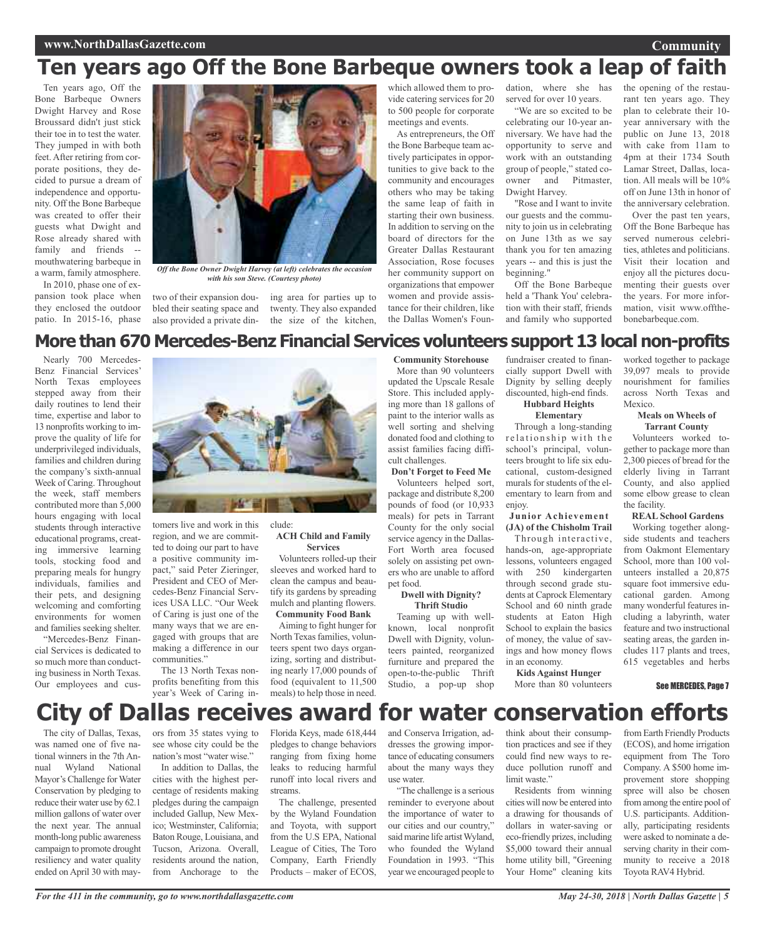### **Ten years ago Off the Bone Barbeque owners took a leap of faith**

Ten years ago, Off the Bone Barbeque Owners Dwight Harvey and Rose Broussard didn't just stick their toe in to test the water. They jumped in with both feet. After retiring from corporate positions, they decided to pursue a dream of independence and opportunity. Off the Bone Barbeque was created to offer their guests what Dwight and Rose already shared with family and friends - mouthwatering barbeque in a warm, family atmosphere.

In 2010, phase one of expansion took place when they enclosed the outdoor patio. In 2015-16, phase



*Off the Bone Owner Dwight Harvey (at left) celebrates the occasion with his son Steve. (Courtesy photo)*

two of their expansion doubled their seating space and also provided a private din-the size of the kitchen, ing area for parties up to twenty. They also expanded

which allowed them to provide catering services for 20 to 500 people for corporate meetings and events.

As entrepreneurs, the Off the Bone Barbeque team actively participates in opportunities to give back to the community and encourages others who may be taking the same leap of faith in starting their own business. In addition to serving on the board of directors for the Greater Dallas Restaurant Association, Rose focuses her community support on organizations that empower women and provide assistance for their children, like the Dallas Women's Foun-

dation, where she has served for over 10 years.

"We are so excited to be celebrating our 10-year anniversary. We have had the opportunity to serve and work with an outstanding group of people," stated coowner and Pitmaster, Dwight Harvey.

"Rose and I want to invite our guests and the community to join us in celebrating on June 13th as we say thank you for ten amazing years -- and this is just the beginning."

Off the Bone Barbeque held a 'Thank You' celebration with their staff, friends and family who supported

the opening of the restaurant ten years ago. They plan to celebrate their 10 year anniversary with the public on June 13, 2018 with cake from 11am to 4pm at their 1734 South Lamar Street, Dallas, location. All meals will be 10% off on June 13th in honor of the anniversary celebration.

**Community**

Over the past ten years, Off the Bone Barbeque has served numerous celebrities, athletes and politicians. Visit their location and enjoy all the pictures documenting their guests over the years. For more information, visit www.offthebonebarbeque.com.

### **More than 670 Mercedes-Benz Financial Services volunteers support 13 local non-profits**

Nearly 700 Mercedes-Benz Financial Services' North Texas employees stepped away from their daily routines to lend their time, expertise and labor to 13 nonprofits working to improve the quality of life for underprivileged individuals, families and children during the company's sixth-annual Week of Caring. Throughout the week, staff members contributed more than 5,000 hours engaging with local students through interactive educational programs, creating immersive learning tools, stocking food and preparing meals for hungry individuals, families and their pets, and designing welcoming and comforting environments for women and families seeking shelter.

"Mercedes-Benz Financial Services is dedicated to so much more than conducting business in North Texas. Our employees and cus-



clude:

tomers live and work in this region, and we are committed to doing our part to have a positive community impact," said Peter Zieringer, President and CEO of Mercedes-Benz Financial Services USA LLC. "Our Week of Caring is just one of the many ways that we are engaged with groups that are making a difference in our communities."

The 13 North Texas nonprofits benefiting from this year's Week of Caring in-

#### **ACH Child and Family Services**

Volunteers rolled-up their sleeves and worked hard to clean the campus and beautify its gardens by spreading mulch and planting flowers. **Community Food Bank**

Aiming to fight hunger for North Texas families, volunteers spent two days organizing, sorting and distributing nearly 17,000 pounds of food (equivalent to 11,500 meals) to help those in need.

**Community Storehouse** More than 90 volunteers

updated the Upscale Resale Store. This included applying more than 18 gallons of paint to the interior walls as well sorting and shelving donated food and clothing to assist families facing difficult challenges.

**Don't Forget to Feed Me** Volunteers helped sort, package and distribute 8,200 pounds of food (or 10,933 meals) for pets in Tarrant County for the only social service agency in the Dallas-Fort Worth area focused solely on assisting pet owners who are unable to afford pet food.

**Dwell with Dignity? Thrift Studio**

Teaming up with wellknown, local nonprofit Dwell with Dignity, volunteers painted, reorganized furniture and prepared the open-to-the-public Thrift Studio, a pop-up shop

fundraiser created to financially support Dwell with Dignity by selling deeply discounted, high-end finds. **Hubbard Heights**

### **Elementary**

Through a long-standing relationship with the school's principal, volunteers brought to life six educational, custom-designed murals for students of the elementary to learn from and enjoy.

### **Junior Achievement (JA) of the Chisholm Trail**

Through interactive, hands-on, age-appropriate lessons, volunteers engaged with 250 kindergarten through second grade students at Caprock Elementary School and 60 ninth grade students at Eaton High School to explain the basics of money, the value of savings and how money flows in an economy.

across North Texas and Mexico. **Meals on Wheels of Tarrant County**

worked together to package 39,097 meals to provide nourishment for families

Volunteers worked together to package more than 2,300 pieces of bread for the elderly living in Tarrant County, and also applied some elbow grease to clean the facility.

### **REAL School Gardens**

Working together alongside students and teachers from Oakmont Elementary School, more than 100 volunteers installed a 20,875 square foot immersive educational garden. Among many wonderful features including a labyrinth, water feature and two instructional seating areas, the garden includes 117 plants and trees, 615 vegetables and herbs

See MERCEDES, Page 7

### **City of Dallas receives award for water conservation efforts**

The city of Dallas, Texas, was named one of five national winners in the 7th Annual Wyland National Mayor's Challenge for Water Conservation by pledging to reduce their water use by 62.1 million gallons of water over the next year. The annual month-long public awareness campaign to promote drought resiliency and water quality ended on April 30 with mayors from 35 states vying to see whose city could be the nation's most "water wise."

In addition to Dallas, the cities with the highest percentage of residents making pledges during the campaign included Gallup, New Mexico; Westminster, California; Baton Rouge, Louisiana, and Tucson, Arizona. Overall, residents around the nation, from Anchorage to the

Florida Keys, made 618,444 pledges to change behaviors ranging from fixing home leaks to reducing harmful runoff into local rivers and streams.

The challenge, presented by the Wyland Foundation and Toyota, with support from the U.S EPA, National League of Cities, The Toro Company, Earth Friendly Products – maker of ECOS,

and Conserva Irrigation, addresses the growing importance of educating consumers about the many ways they use water.

"The challenge is a serious reminder to everyone about the importance of water to our cities and our country," said marine life artist Wyland, who founded the Wyland Foundation in 1993. "This year we encouraged people to

think about their consumption practices and see if they could find new ways to reduce pollution runoff and limit waste."

**Kids Against Hunger** More than 80 volunteers

Residents from winning cities will now be entered into a drawing for thousands of dollars in water-saving or eco-friendly prizes, including \$5,000 toward their annual home utility bill, "Greening Your Home" cleaning kits

from Earth Friendly Products (ECOS), and home irrigation equipment from The Toro Company. A \$500 home improvement store shopping spree will also be chosen from among the entire pool of U.S. participants. Additionally, participating residents were asked to nominate a deserving charity in their community to receive a 2018 Toyota RAV4 Hybrid.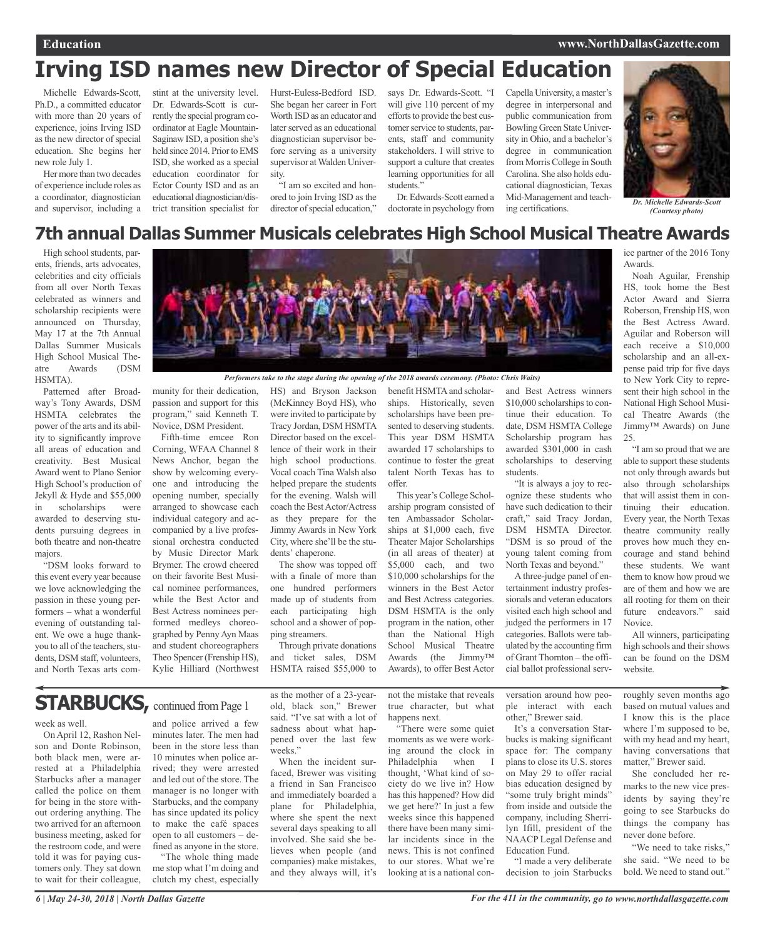## **Irving ISD names new Director of Special Education**

Michelle Edwards-Scott, Ph.D., a committed educator with more than 20 years of experience, joins Irving ISD as the new director of special education. She begins her new role July 1.

Her more than two decades of experience include roles as a coordinator, diagnostician and supervisor, including a

stint at the university level. Dr. Edwards-Scott is currently the special program coordinator at Eagle Mountain-Saginaw ISD, a position she's held since 2014. Prior to EMS ISD, she worked as a special education coordinator for Ector County ISD and as an educational diagnostician/district transition specialist for

Hurst-Euless-Bedford ISD. She began her career in Fort Worth ISD as an educator and later served as an educational diagnostician supervisor before serving as a university supervisor at Walden University.

"I am so excited and honored to join Irving ISD as the director of special education," says Dr. Edwards-Scott. "I will give 110 percent of my efforts to provide the best customer service to students, parents, staff and community stakeholders. I will strive to support a culture that creates learning opportunities for all students."

Dr. Edwards-Scott earned a doctorate in psychology from Capella University, amaster's degree in interpersonal and public communication from Bowling Green State University in Ohio, and a bachelor's degree in communication from Morris College in South Carolina. She also holds educational diagnostician, Texas Mid-Management and teaching certifications.



*(Courtesy photo)*

ice partner of the 2016 Tony

Noah Aguilar, Frenship HS, took home the Best Actor Award and Sierra Roberson, Frenship HS, won the Best Actress Award. Aguilar and Roberson will each receive a \$10,000 scholarship and an all-expense paid trip for five days to New York City to represent their high school in the National High School Musical Theatre Awards (the Jimmy™ Awards) on June

"I am so proud that we are able to support these students not only through awards but also through scholarships that will assist them in continuing their education. Every year, the North Texas theatre community really proves how much they encourage and stand behind these students. We want them to know how proud we are of them and how we are all rooting for them on their future endeavors." said

Awards.

25.

### **7th annual Dallas Summer Musicals celebrates High School Musical Theatre Awards**

High school students, parents, friends, arts advocates, celebrities and city officials from all over North Texas celebrated as winners and scholarship recipients were announced on Thursday, May 17 at the 7th Annual Dallas Summer Musicals High School Musical Theatre Awards (DSM HSMTA).

Patterned after Broadway's Tony Awards, DSM HSMTA celebrates the power of the arts and its ability to significantly improve all areas of education and creativity. Best Musical Award went to Plano Senior High School's production of Jekyll & Hyde and \$55,000 in scholarships were awarded to deserving students pursuing degrees in both theatre and non-theatre majors.

"DSM looks forward to this event every year because we love acknowledging the passion in these young performers – what a wonderful evening of outstanding talent. We owe a huge thankyou to all of the teachers, students, DSM staff, volunteers, and North Texas arts com-



*Performers take to the stage during the opening of the 2018 awards ceremony. (Photo: Chris Waits)*

munity for their dedication, passion and support for this program," said Kenneth T. Novice, DSM President.

Fifth-time emcee Ron Corning, WFAA Channel 8 News Anchor, began the show by welcoming everyone and introducing the opening number, specially arranged to showcase each individual category and accompanied by a live professional orchestra conducted by Music Director Mark Brymer. The crowd cheered on their favorite Best Musical nominee performances, while the Best Actor and Best Actress nominees performed medleys choreographed by PennyAyn Maas and student choreographers Theo Spencer (Frenship HS), Kylie Hilliard (Northwest

HS) and Bryson Jackson (McKinney Boyd HS), who were invited to participate by Tracy Jordan, DSM HSMTA Director based on the excellence of their work in their high school productions. Vocal coach Tina Walsh also helped prepare the students for the evening. Walsh will coach the BestActor/Actress as they prepare for the Jimmy Awards in New York City, where she'll be the students' chaperone.

The show was topped off with a finale of more than one hundred performers made up of students from each participating high school and a shower of popping streamers.

Through private donations and ticket sales, DSM HSMTA raised \$55,000 to

benefit HSMTA and scholarships. Historically, seven scholarships have been presented to deserving students. This year DSM HSMTA awarded 17 scholarships to continue to foster the great talent North Texas has to offer.

This year's College Scholarship program consisted of ten Ambassador Scholarships at \$1,000 each, five Theater Major Scholarships (in all areas of theater) at \$5,000 each, and two \$10,000 scholarships for the winners in the Best Actor and Best Actress categories. DSM HSMTA is the only program in the nation, other than the National High School Musical Theatre Awards (the Jimmy™ Awards), to offer Best Actor

and Best Actress winners \$10,000 scholarships to continue their education. To date, DSM HSMTA College Scholarship program has awarded \$301,000 in cash scholarships to deserving students.

"It is always a joy to recognize these students who have such dedication to their craft," said Tracy Jordan, DSM HSMTA Director. "DSM is so proud of the young talent coming from North Texas and beyond."

A three-judge panel of entertainment industry professionals and veteran educators visited each high school and judged the performers in 17 categories. Ballots were tabulated by the accounting firm of Grant Thornton – the official ballot professional serv-

website. roughly seven months ago based on mutual values and I know this is the place

Novice.

where I'm supposed to be, with my head and my heart, having conversations that matter," Brewer said. She concluded her re-

All winners, participating high schools and their shows can be found on the DSM

marks to the new vice presidents by saying they're going to see Starbucks do things the company has never done before.

"We need to take risks," she said. "We need to be bold. We need to stand out."

### **STARBUCKS, continued from Page 1**

week as well.

On April 12, Rashon Nelson and Donte Robinson, both black men, were arrested at a Philadelphia Starbucks after a manager called the police on them for being in the store without ordering anything. The two arrived for an afternoon business meeting, asked for the restroom code, and were told it was for paying customers only. They sat down to wait for their colleague,

and police arrived a few minutes later. The men had been in the store less than 10 minutes when police arrived; they were arrested and led out of the store. The manager is no longer with Starbucks, and the company has since updated its policy to make the café spaces open to all customers – de-

fined as anyone in the store. "The whole thing made me stop what I'm doing and clutch my chest, especially

as the mother of a 23-yearold, black son," Brewer said. "I've sat with a lot of sadness about what happened over the last few weeks."

When the incident surfaced, Brewer was visiting a friend in San Francisco and immediately boarded a plane for Philadelphia, where she spent the next several days speaking to all involved. She said she believes when people (and companies) make mistakes, and they always will, it's

not the mistake that reveals true character, but what happens next.

"There were some quiet moments as we were working around the clock in Philadelphia when thought, 'What kind of society do we live in? How has this happened? How did we get here?' In just a few weeks since this happened there have been many similar incidents since in the news. This is not confined to our stores. What we're looking at is a national conversation around how people interact with each other," Brewer said.

It's a conversation Starbucks is making significant space for: The company plans to close its U.S. stores on May 29 to offer racial bias education designed by "some truly bright minds" from inside and outside the company, including Sherrilyn Ifill, president of the NAACP Legal Defense and Education Fund.

"I made a very deliberate decision to join Starbucks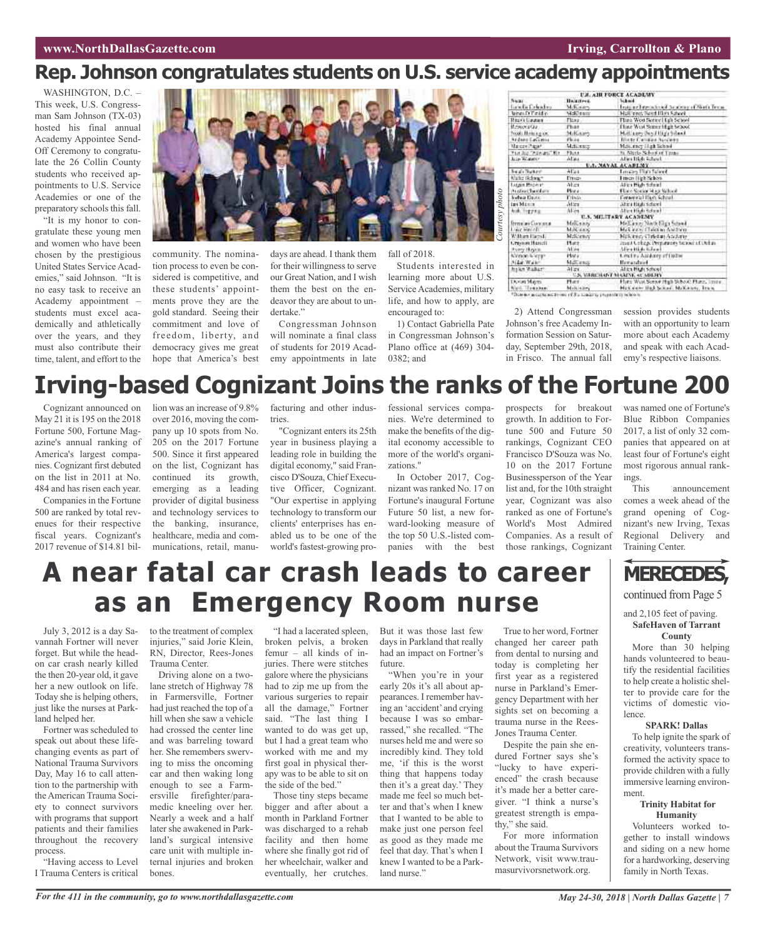### **Rep. Johnson congratulates students on U.S. service academy appointments**

WASHINGTON, D.C. -This week, U.S. Congressman Sam Johnson (TX-03) hosted his final annual Academy Appointee Send-Off Ceremony to congratulate the 26 Collin County students who received appointments to U.S. Service Academies or one of the preparatory schools this fall.

"It is my honor to congratulate these young men and women who have been chosen by the prestigious United States Service Academies," said Johnson. "It is no easy task to receive an Academy appointment – students must excel academically and athletically over the years, and they must also contribute their time, talent, and effort to the



community. The nomination process to even be considered is competitive, and these students' appointments prove they are the gold standard. Seeing their commitment and love of freedom, liberty, and democracy gives me great hope that America's best days are ahead. I thank them for their willingness to serve our Great Nation, and I wish them the best on the endeavor they are about to undertake."

Congressman Johnson will nominate a final class of students for 2019 Academy appointments in late

fall of 2018.

Students interested in learning more about U.S. Service Academies, military life, and how to apply, are encouraged to:

1) Contact Gabriella Pate in Congressman Johnson's Plano office at (469) 304-  $0382$ ; and

|                           |                   | <b>U.S. AIR FORCE ACADEMY</b>                   |
|---------------------------|-------------------|-------------------------------------------------|
| Negati                    | Halasteen,        | liked.                                          |
| <b>Greeks Calcidates</b>  | Milliam           | Instance International Academial Nautri Terraci |
| <b>UnesDificial</b> o     | <b>Wald early</b> | National Beart Research                         |
| Rigical Catalonics        | Fitna.            | Flana Work Sentred Egh School                   |
| ficewater.                | Phar              | Flate West Seiner High Selood                   |
| book Henrica or           | Mikiaans          | Hall ages Doy'l High School                     |
| <b>Anderer Casticense</b> | Philad.           | <b>There Candida Numbers</b>                    |
| Marcon-Hanny              | MILLERS           | Metterey High School                            |
| The Judi Thankers, No.    | <b>Flutz</b>      | N. Nicris School of Titano                      |
| Array Walkerson           | Albia             | Allen High School (1999)                        |
|                           |                   | U.S. MAYAL ACABLMY                              |
| <b>Seat Tuker</b>         | AU-1              | <b>Email Office Advised</b>                     |
| Waltz Belong*             | <b>Union</b>      | Finan High Sebbs                                |
| Lucian Motorit            | Alica.            | Alica High School                               |
| Audioclaridam             | Plota             | Flace Sector Hap School                         |
| <b>Vehau David</b>        | Frinds            | Fernetzial III(6) School-                       |
| <b>Inchistor</b>          | Atten             | Africa Hindu School                             |
| Auk Higgss                | AL-71             | Allen Hizk School                               |
|                           |                   | U.S. MILITARY ACADEMY                           |
| Втенция Словнице          | MAIL LIST         | Mellaner North Fires School                     |
| Long Mariedi              | M.A. saw          | Making Club to Anti-on-                         |
| <b>Wither Harry</b>       | McNewww           | McKanezy Christian Academy                      |
| <b>Creased Hastell</b>    | Hutz              | inset College Demanute School of Dirkin-        |
| Forry Hayon               | Allow.            | Mica High Kalmel                                |
| <b>Nonvoo Wern</b> s      | Hves.             | <b>Costra Antiony of Datas</b>                  |
| Aldah Walkin              | Mattersch         | <b>Horandood</b>                                |
| fraike Walkert            | Alley.            | Allen High School.                              |
|                           |                   | <b>U.S. VIRRCHAIVE MARTIE, ACADEMY</b>          |
| DOM NATI                  | Hurr :            | Hatz West Sensor High School: Hunz, Immy.       |
| Non-Tresoun               | Main sizes        | McCaster High School; McCanety, Trum            |

2) Attend Congressman Johnson's free Academy Information Session on Saturday, September 29th, 2018, in Frisco. The annual fall session provides students with an opportunity to learn more about each Academy and speak with each Academy's respective liaisons.

## **Irving-based Cognizant Joins the ranks of the Fortune 200**

Cognizant announced on May 21 it is 195 on the 2018 Fortune 500, Fortune Magazine's annual ranking of America's largest companies. Cognizant first debuted on the list in 2011 at No. 484 and has risen each year.

Companies in the Fortune 500 are ranked by total revenues for their respective fiscal years. Cognizant's 2017 revenue of \$14.81 billion was an increase of 9.8% over 2016, moving the company up 10 spots from No. 205 on the 2017 Fortune 500. Since it first appeared on the list, Cognizant has continued its growth, emerging as a leading provider of digital business and technology services to the banking, insurance, healthcare, media and communications, retail, manufacturing and other industries.

"Cognizant enters its 25th year in business playing a leading role in building the digital economy," said Francisco D'Souza, Chief Executive Officer, Cognizant. "Our expertise in applying technology to transform our clients' enterprises has enabled us to be one of the world's fastest-growing professional services companies. We're determined to make the benefits of the digital economy accessible to more of the world's organizations."

In October 2017, Cognizant was ranked No. 17 on Fortune's inaugural Fortune Future 50 list, a new forward-looking measure of the top 50 U.S.-listed companies with the best prospects for breakout growth. In addition to Fortune 500 and Future 50 rankings, Cognizant CEO Francisco D'Souza was No. 10 on the 2017 Fortune Businessperson of the Year list and, for the 10th straight year, Cognizant was also ranked as one of Fortune's World's Most Admired Companies. As a result of those rankings, Cognizant

was named one of Fortune's Blue Ribbon Companies 2017, a list of only 32 companies that appeared on at least four of Fortune's eight most rigorous annual rankings.

announcement comes a week ahead of the grand opening of Cognizant's new Irving, Texas Regional Delivery and Training Center.

## **A near fatal car crash leads to career as an Emergency Room nurse**

July 3, 2012 is a day Savannah Fortner will never forget. But while the headon car crash nearly killed the then 20-year old, it gave her a new outlook on life. Today she is helping others, just like the nurses at Parkland helped her.

Fortner was scheduled to speak out about these lifechanging events as part of National Trauma Survivors Day, May 16 to call attention to the partnership with theAmerican Trauma Society to connect survivors with programs that support patients and their families throughout the recovery process.

"Having access to Level I Trauma Centers is critical to the treatment of complex injuries," said Jorie Klein, RN, Director, Rees-Jones Trauma Center.

Driving alone on a twolane stretch of Highway 78 in Farmersville, Fortner had just reached the top of a hill when she saw a vehicle had crossed the center line and was barreling toward her. She remembers swerving to miss the oncoming car and then waking long enough to see a Farmersville firefighter/paramedic kneeling over her. Nearly a week and a half later she awakened in Parkland's surgical intensive care unit with multiple internal injuries and broken bones.

"I had a lacerated spleen, broken pelvis, a broken femur – all kinds of injuries. There were stitches galore where the physicians had to zip me up from the various surgeries to repair all the damage," Fortner said. "The last thing I wanted to do was get up, but I had a great team who worked with me and my first goal in physical therapy was to be able to sit on the side of the bed."

Those tiny steps became bigger and after about a month in Parkland Fortner was discharged to a rehab facility and then home where she finally got rid of her wheelchair, walker and eventually, her crutches.

But it was those last few days in Parkland that really had an impact on Fortner's future.

"When you're in your early 20s it's all about appearances. I remember having an 'accident' and crying because I was so embarrassed," she recalled. "The nurses held me and were so incredibly kind. They told me, 'if this is the worst thing that happens today then it's a great day.' They made me feel so much better and that's when I knew that I wanted to be able to make just one person feel as good as they made me feel that day. That's when I knew I wanted to be a Parkland nurse."

True to her word, Fortner changed her career path from dental to nursing and today is completing her first year as a registered nurse in Parkland's Emergency Department with her sights set on becoming a trauma nurse in the Rees-Jones Trauma Center.

Despite the pain she endured Fortner says she's "lucky to have experienced" the crash because it's made her a better caregiver. "I think a nurse's greatest strength is empathy," she said.

For more information about the Trauma Survivors Network, visit www.traumasurvivorsnetwork.org.

continued from Page 5

**MERECEDES,**

#### and 2,105 feet of paving. **SafeHaven of Tarrant County**

More than 30 helping hands volunteered to beautify the residential facilities to help create a holistic shelter to provide care for the victims of domestic violence.

#### **SPARK! Dallas**

To help ignite the spark of creativity, volunteers transformed the activity space to provide children with a fully immersive learning environment.

### **Trinity Habitat for Humanity**

Volunteers worked together to install windows and siding on a new home for a hardworking, deserving family in North Texas.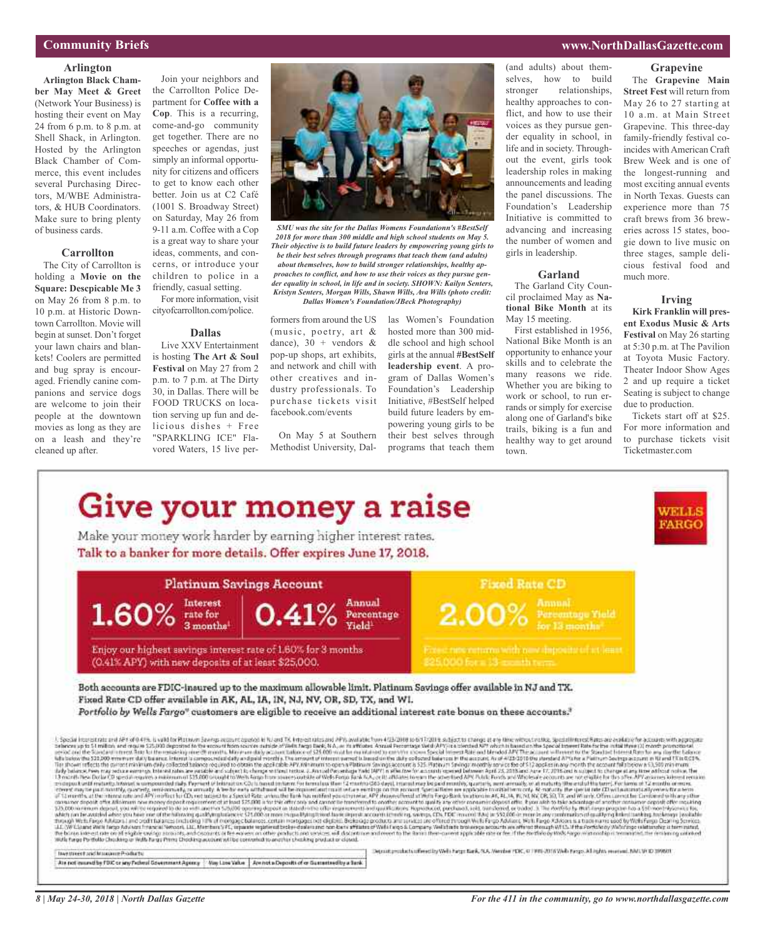### **Community Briefs**

### **Arlington**

**Arlington Black Chamber May Meet & Greet** (Network Your Business) is hosting their event on May 24 from 6 p.m. to 8 p.m. at Shell Shack, in Arlington. Hosted by the Arlington Black Chamber of Commerce, this event includes several Purchasing Directors, M/WBE Administrators, & HUB Coordinators. Make sure to bring plenty of business cards.

### **Carrollton**

The City of Carrollton is holding a **Movie on the Square: Descpicable Me 3** on May 26 from 8 p.m. to 10 p.m. at Historic Downtown Carrollton. Movie will begin at sunset. Don't forget your lawn chairs and blankets! Coolers are permitted and bug spray is encouraged. Friendly canine companions and service dogs are welcome to join their people at the downtown movies as long as they are on a leash and they're cleaned up after.

Join your neighbors and the Carrollton Police Department for **Coffee with a Cop**. This is a recurring, come-and-go community get together. There are no speeches or agendas, just simply an informal opportunity for citizens and officers to get to know each other better. Join us at C2 Café (1001 S. Broadway Street) on Saturday, May 26 from 9-11 a.m. Coffee with a Cop is a great way to share your ideas, comments, and concerns, or introduce your children to police in a

friendly, casual setting. For more information, visit cityofcarrollton.com/police.

#### **Dallas**

Live XXV Entertainment is hosting **The Art & Soul Festival** on May 27 from 2 p.m. to 7 p.m. at The Dirty 30, in Dallas. There will be FOOD TRUCKS on location serving up fun and delicious dishes + Free "SPARKLING ICE" Flavored Waters, 15 live per-



*SMU was the site for the Dallas Womens Foundationn's #BestSelf 2018 for more than 300 middle and high school students on May 5. Their objective is to build future leaders by empowering young girls to be their best selves through programs that teach them (and adults) about themselves, how to build stronger relationships, healthy approaches to conflict, and how to use their voices as they pursue gender equality in school, in life and in society. SHOWN: Kailyn Senters, Kristyn Senters, Morgan Wills, Shawn Wills, Ava Wills (photo credit: Dallas Women's Foundation/JBeck Photography)*

formers from around the US (music, poetry, art & dance),  $30 + \text{vendors } \&$ pop-up shops, art exhibits, and network and chill with other creatives and industry professionals. To purchase tickets visit facebook.com/events

On May 5 at Southern Methodist University, Dallas Women's Foundation hosted more than 300 middle school and high school girls at the annual **#BestSelf leadership event**. A program of Dallas Women's Foundation's Leadership Initiative, #BestSelf helped build future leaders by empowering young girls to be their best selves through programs that teach them

(and adults) about themselves, how to build stronger relationships, healthy approaches to conflict, and how to use their voices as they pursue gender equality in school, in life and in society. Throughout the event, girls took leadership roles in making announcements and leading the panel discussions. The Foundation's Leadership Initiative is committed to advancing and increasing the number of women and girls in leadership.

### **Garland**

The Garland City Council proclaimed May as **National Bike Month** at its May 15 meeting.

First established in 1956, National Bike Month is an opportunity to enhance your skills and to celebrate the many reasons we ride. Whether you are biking to work or school, to run errands or simply for exercise along one of Garland's bike trails, biking is a fun and healthy way to get around town.

The **Grapevine Main Street Fest** will return from May 26 to 27 starting at 10 a.m. at Main Street Grapevine. This three-day family-friendly festival co-

**Grapevine**

incides with American Craft Brew Week and is one of the longest-running and most exciting annual events in North Texas. Guests can experience more than 75 craft brews from 36 breweries across 15 states, boogie down to live music on three stages, sample delicious festival food and much more.

#### **Irving**

**Kirk Franklin will present Exodus Music & Arts Festival** on May 26 starting at 5:30 p.m. at The Pavilion at Toyota Music Factory. Theater Indoor Show Ages 2 and up require a ticket Seating is subject to change due to production.

Tickets start off at \$25. For more information and to purchase tickets visit Ticketmaster.com



### **www.NorthDallasGazette.com**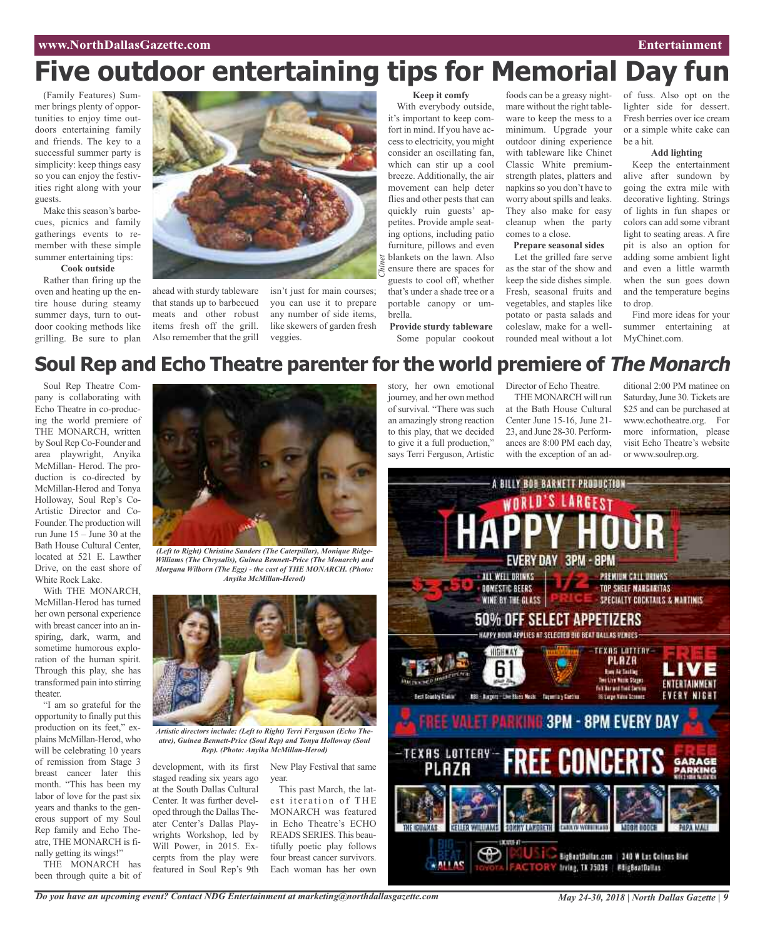### **www.NorthDallasGazette.com Entertainment**

## **Five outdoor entertaining tips for Memorial Day fun**

(Family Features) Summer brings plenty of opportunities to enjoy time outdoors entertaining family and friends. The key to a successful summer party is simplicity: keep things easy so you can enjoy the festivities right along with your guests.

Make this season's barbecues, picnics and family gatherings events to remember with these simple summer entertaining tips:

### **Cook outside**

Rather than firing up the oven and heating up the entire house during steamy summer days, turn to outdoor cooking methods like grilling. Be sure to plan



ahead with sturdy tableware that stands up to barbecued meats and other robust items fresh off the grill. Also remember that the grill isn't just for main courses; you can use it to prepare any number of side items, like skewers of garden fresh veggies.

**Keep it comfy**

With everybody outside, it's important to keep comfort in mind. If you have access to electricity, you might consider an oscillating fan, which can stir up a cool breeze. Additionally, the air movement can help deter flies and other pests that can quickly ruin guests' appetites. Provide ample seating options, including patio furniture, pillows and even blankets on the lawn. Also ensure there are spaces for guests to cool off, whether that's under a shade tree or a portable canopy or umbrella.

**Provide sturdy tableware** Some popular cookout foods can be a greasy nightmare without the right tableware to keep the mess to a minimum. Upgrade your outdoor dining experience with tableware like Chinet Classic White premiumstrength plates, platters and napkins so you don't have to worry about spills and leaks. They also make for easy cleanup when the party comes to a close.

### **Prepare seasonal sides**

Let the grilled fare serve as the star of the show and keep the side dishes simple. Fresh, seasonal fruits and vegetables, and staples like potato or pasta salads and coleslaw, make for a wellrounded meal without a lot of fuss. Also opt on the lighter side for dessert. Fresh berries over ice cream or a simple white cake can be a hit.

### **Add lighting**

Keep the entertainment alive after sundown by going the extra mile with decorative lighting. Strings of lights in fun shapes or colors can add some vibrant light to seating areas. A fire pit is also an option for adding some ambient light and even a little warmth when the sun goes down and the temperature begins to drop.

Find more ideas for your summer entertaining at MyChinet.com.

### **Soul Rep and Echo Theatre parenter for the world premiere of The Monarch**

Soul Rep Theatre Company is collaborating with Echo Theatre in co-producing the world premiere of THE MONARCH, written by Soul Rep Co-Founder and area playwright, Anyika McMillan- Herod. The production is co-directed by McMillan-Herod and Tonya Holloway, Soul Rep's Co-Artistic Director and Co-Founder.The production will run June 15 – June 30 at the Bath House Cultural Center, located at 521 E. Lawther Drive, on the east shore of White Rock Lake.

With THE MONARCH, McMillan-Herod has turned her own personal experience with breast cancer into an inspiring, dark, warm, and sometime humorous exploration of the human spirit. Through this play, she has transformed pain into stirring theater.

"I am so grateful for the opportunity to finally put this production on its feet," explains McMillan-Herod, who will be celebrating 10 years of remission from Stage 3 breast cancer later this month. "This has been my labor of love for the past six years and thanks to the generous support of my Soul Rep family and Echo Theatre, THE MONARCH is finally getting its wings!"

THE MONARCH has been through quite a bit of



*(Left to Right) Christine Sanders (The Caterpillar), Monique Ridge-Williams (The Chrysalis), Guinea Bennett-Price (The Monarch) and Morgana Wilborn (The Egg) - the cast of THE MONARCH. (Photo: Anyika McMillan-Herod)*



*Artistic directors include: (Left to Right) Terri Ferguson (Echo Theatre), Guinea Bennett-Price (Soul Rep) and Tonya Holloway (Soul Rep). (Photo: Anyika McMillan-Herod)*

staged reading six years ago at the South Dallas Cultural Center. It was further developed through the Dallas Theater Center's Dallas Playwrights Workshop, led by Will Power, in 2015. Excerpts from the play were featured in Soul Rep's 9th

development, with its first New Play Festival that same year.

> This past March, the latest iteration of THE MONARCH was featured in Echo Theatre's ECHO READS SERIES.This beautifully poetic play follows four breast cancer survivors. Each woman has her own

story, her own emotional journey, and her own method of survival. "There was such an amazingly strong reaction to this play, that we decided to give it a full production," says Terri Ferguson, Artistic

Director of Echo Theatre.

THE MONARCH will run at the Bath House Cultural Center June 15-16, June 21- 23, and June 28-30. Performances are 8:00 PM each day, with the exception of an ad-

ditional 2:00 PM matinee on Saturday, June 30. Tickets are \$25 and can be purchased at www.echotheatre.org. For more information, please visit Echo Theatre's website or www.soulrep.org.

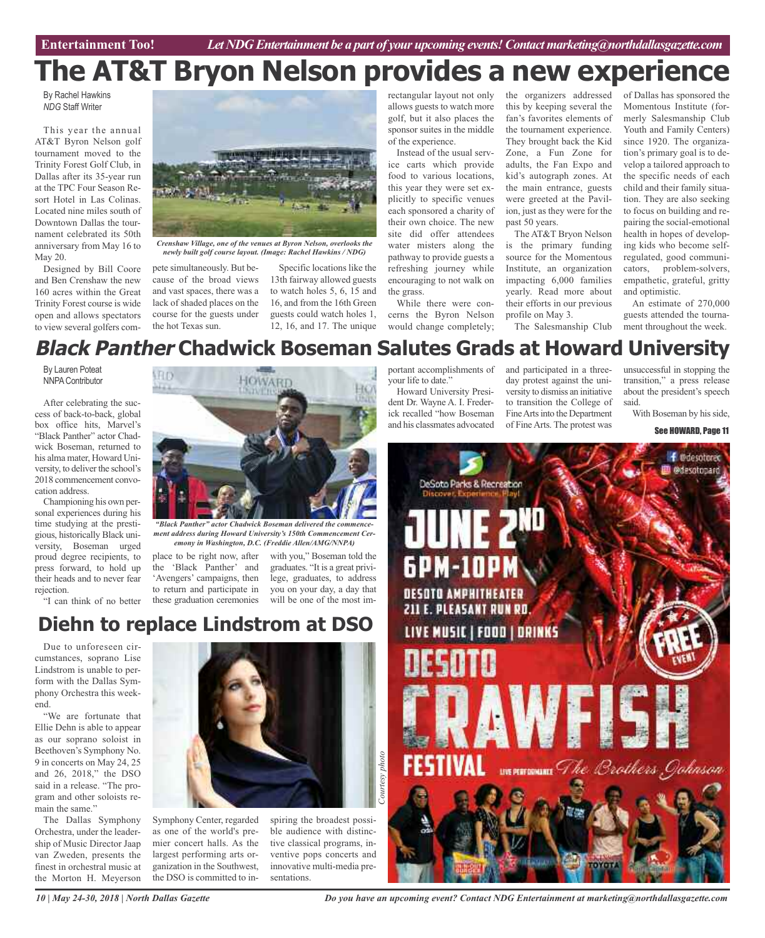**Car Review Entertainment Too!** *Let NDG Entertainment be a part of your upcoming events!Contactmarketing@northdallasgazette.com*

## **The AT&T Bryon Nelson provides a new experience**

By Rachel Hawkins *NDG* Staff Writer

This year the annual AT&T Byron Nelson golf tournament moved to the Trinity Forest Golf Club, in Dallas after its 35-year run at the TPC Four Season Resort Hotel in Las Colinas. Located nine miles south of Downtown Dallas the tournament celebrated its 50th anniversary from May 16 to May 20.

Designed by Bill Coore and Ben Crenshaw the new 160 acres within the Great Trinity Forest course is wide open and allows spectators to view several golfers com-



pete simultaneously. But because of the broad views and vast spaces, there was a lack of shaded places on the course for the guests under the hot Texas sun.

Specific locations like the 13th fairway allowed guests to watch holes 5, 6, 15 and 16, and from the 16th Green guests could watch holes 1, 12, 16, and 17. The unique

rectangular layout not only allows guests to watch more golf, but it also places the sponsor suites in the middle of the experience.

Instead of the usual service carts which provide food to various locations, this year they were set explicitly to specific venues each sponsored a charity of their own choice. The new site did offer attendees water misters along the pathway to provide guests a refreshing journey while encouraging to not walk on the grass.

While there were concerns the Byron Nelson would change completely;

the organizers addressed this by keeping several the fan's favorites elements of the tournament experience. They brought back the Kid Zone, a Fun Zone for adults, the Fan Expo and kid's autograph zones. At the main entrance, guests were greeted at the Pavilion, just as they were for the past 50 years.

The AT&T Bryon Nelson is the primary funding source for the Momentous Institute, an organization impacting 6,000 families yearly. Read more about their efforts in our previous profile on May 3. The Salesmanship Club

of Dallas has sponsored the Momentous Institute (formerly Salesmanship Club Youth and Family Centers) since 1920. The organization's primary goal is to develop a tailored approach to the specific needs of each child and their family situation. They are also seeking to focus on building and repairing the social-emotional health in hopes of developing kids who become selfregulated, good communicators, problem-solvers, empathetic, grateful, gritty and optimistic.

An estimate of 270,000 guests attended the tournament throughout the week.

### **Black Panther Chadwick Boseman Salutes Grads at Howard University**

By Lauren Poteat **NNPA Contributor** 

After celebrating the success of back-to-back, global box office hits, Marvel's "Black Panther" actor Chadwick Boseman, returned to his alma mater, Howard University, to deliver the school's 2018 commencement convocation address.

Championing his own personal experiences during his time studying at the prestigious, historically Black university, Boseman urged proud degree recipients, to press forward, to hold up their heads and to never fear rejection.

"I can think of no better



*ment address during Howard University's 150th Commencement Ceremony in Washington, D.C. (Freddie Allen/AMG/NNPA)*

place to be right now, after the 'Black Panther' and 'Avengers' campaigns, then to return and participate in these graduation ceremonies

with you," Boseman told the graduates. "It is a great privilege, graduates, to address you on your day, a day that will be one of the most im-

### **Diehn to replace Lindstrom at DSO**

Due to unforeseen circumstances, soprano Lise Lindstrom is unable to perform with the Dallas Symphony Orchestra this weekend.

"We are fortunate that Ellie Dehn is able to appear as our soprano soloist in Beethoven's Symphony No. 9 in concerts on May 24, 25 and 26, 2018," the DSO said in a release. "The program and other soloists remain the same."

The Dallas Symphony Orchestra, under the leadership of Music Director Jaap van Zweden, presents the finest in orchestral music at the Morton H. Meyerson



Symphony Center, regarded as one of the world's premier concert halls. As the largest performing arts organization in the Southwest, the DSO is committed to inspiring the broadest possible audience with distinctive classical programs, inventive pops concerts and innovative multi-media presentations.

*Courtesy*

*photo*

portant accomplishments of your life to date."

Howard University President Dr. Wayne A. I. Frederick recalled "how Boseman and his classmates advocated

and participated in a threeday protest against the university to dismiss an initiative to transition the College of Fine Arts into the Department of Fine Arts. The protest was

unsuccessful in stopping the transition," a press release about the president's speech said.

With Boseman by his side,

See HOWARD, Page 11



*Do you have an upcoming event? Contact NDG Entertainment at marketing@northdallasgazette.com*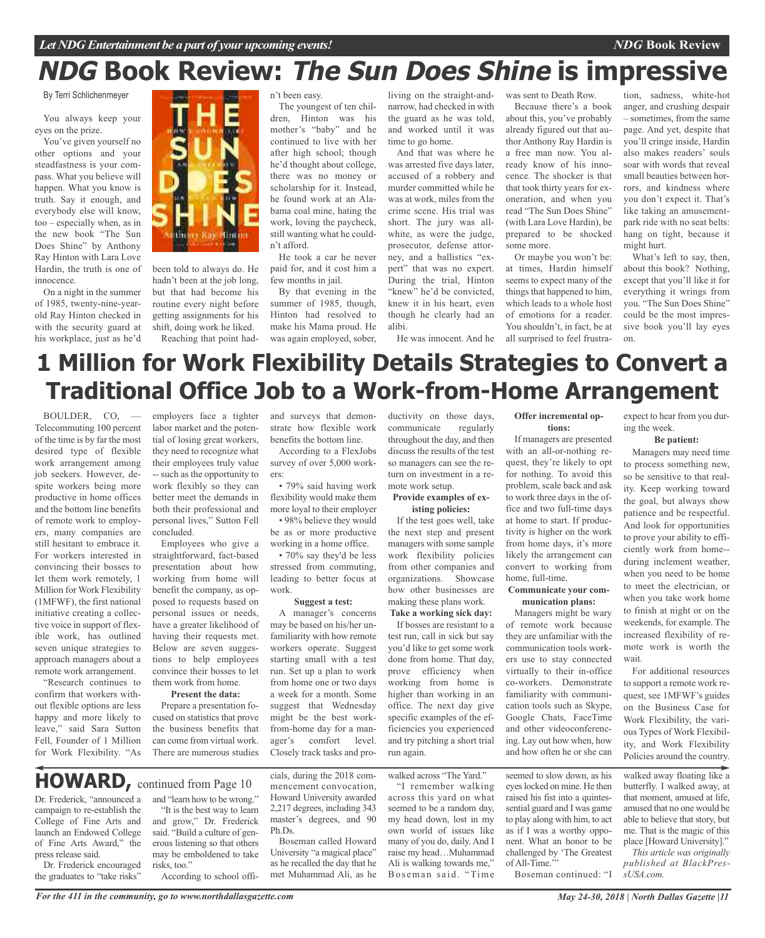### *NDG* **Book Review**

## **NDG Book Review: The Sun Does Shine is impressive**

By Terri Schlichenmeyer

You always keep your eyes on the prize.

You've given yourself no other options and your steadfastness is your compass. What you believe will happen. What you know is truth. Say it enough, and everybody else will know, too – especially when, as in the new book "The Sun Does Shine" by Anthony Ray Hinton with Lara Love Hardin, the truth is one of innocence.

On a night in the summer of 1985, twenty-nine-yearold Ray Hinton checked in with the security guard at his workplace, just as he'd



been told to always do. He hadn't been at the job long, but that had become his routine every night before getting assignments for his shift, doing work he liked. Reaching that point hadn't been easy.

The youngest of ten children, Hinton was his mother's "baby" and he continued to live with her after high school; though he'd thought about college, there was no money or scholarship for it. Instead, he found work at an Alabama coal mine, hating the work, loving the paycheck, still wanting what he couldn't afford. He took a car he never

paid for, and it cost him a few months in jail.

By that evening in the summer of 1985, though, Hinton had resolved to make his Mama proud. He was again employed, sober,

living on the straight-andnarrow, had checked in with the guard as he was told, and worked until it was time to go home.

And that was where he was arrested five days later, accused of a robbery and murder committed while he was at work, miles from the crime scene. His trial was short. The jury was allwhite, as were the judge, prosecutor, defense attorney, and a ballistics "expert" that was no expert. During the trial, Hinton "knew" he'd be convicted, knew it in his heart, even though he clearly had an alibi.

He was innocent. And he

was sent to Death Row. Because there's a book about this, you've probably already figured out that author Anthony Ray Hardin is a free man now. You already know of his innocence. The shocker is that that took thirty years for exoneration, and when you read "The Sun Does Shine" (with Lara Love Hardin), be prepared to be shocked some more.

Or maybe you won't be: at times, Hardin himself seems to expect many of the things that happened to him, which leads to a whole host of emotions for a reader. You shouldn't, in fact, be at all surprised to feel frustra-

tion, sadness, white-hot anger, and crushing despair – sometimes, from the same page. And yet, despite that you'll cringe inside, Hardin also makes readers' souls soar with words that reveal small beauties between horrors, and kindness where you don't expect it. That's like taking an amusementpark ride with no seat belts: hang on tight, because it might hurt.

What's left to say, then, about this book? Nothing, except that you'll like it for everything it wrings from you. "The Sun Does Shine" could be the most impressive book you'll lay eyes on.

## **1 Million for Work Flexibility Details Strategies to Convert a Traditional Office Job to a Work-from-Home Arrangement**

BOULDER, CO, — Telecommuting 100 percent of the time is by far the most desired type of flexible work arrangement among job seekers. However, despite workers being more productive in home offices and the bottom line benefits of remote work to employers, many companies are still hesitant to embrace it. For workers interested in convincing their bosses to let them work remotely, 1 Million for Work Flexibility (1MFWF), the first national initiative creating a collective voice in support of flexible work, has outlined seven unique strategies to approach managers about a remote work arrangement.

"Research continues to confirm that workers without flexible options are less happy and more likely to leave," said Sara Sutton Fell, Founder of 1 Million for Work Flexibility. "As

Dr. Frederick, "announced a campaign to re-establish the College of Fine Arts and launch an Endowed College of Fine Arts Award," the

Dr. Frederick encouraged the graduates to "take risks"

press release said.

employers face a tighter labor market and the potential of losing great workers, they need to recognize what their employees truly value -- such as the opportunity to work flexibly so they can better meet the demands in both their professional and personal lives," Sutton Fell concluded.

Employees who give a straightforward, fact-based presentation about how working from home will benefit the company, as opposed to requests based on personal issues or needs, have a greater likelihood of having their requests met. Below are seven suggestions to help employees convince their bosses to let them work from home.

#### **Present the data:**

Prepare a presentation focused on statistics that prove the business benefits that can come from virtual work. There are numerous studies

and "learn how to be wrong." "It is the best way to learn and grow," Dr. Frederick said. "Build a culture of generous listening so that others may be emboldened to take

According to school offi-

and surveys that demonstrate how flexible work benefits the bottom line.

According to a FlexJobs survey of over 5,000 workers:

• 79% said having work flexibility would make them more loyal to their employer • 98% believe they would

be as or more productive working in a home office.

• 70% say they'd be less stressed from commuting, leading to better focus at work.

#### **Suggest a test:**

A manager's concerns may be based on his/her unfamiliarity with how remote workers operate. Suggest starting small with a test run. Set up a plan to work from home one or two days a week for a month. Some suggest that Wednesday might be the best workfrom-home day for a manager's comfort level. Closely track tasks and pro-

cials, during the 2018 commencement convocation, Howard University awarded 2,217 degrees, including 343 master's degrees, and 90

Boseman called Howard University "a magical place" as he recalled the day that he met Muhammad Ali, as he

Ph.Ds.

ductivity on those days, communicate regularly throughout the day, and then discuss the results of the test so managers can see the return on investment in a remote work setup.

### **Provide examples of existing policies:**

If the test goes well, take the next step and present managers with some sample work flexibility policies from other companies and organizations. Showcase how other businesses are making these plans work.

**Take a working sick day:** If bosses are resistant to a test run, call in sick but say you'd like to get some work done from home. That day, prove efficiency when working from home is higher than working in an office. The next day give specific examples of the efficiencies you experienced and try pitching a short trial run again.

raise my head…Muhammad Ali is walking towards me," Boseman said. "Time

walked across "The Yard." "I remember walking across this yard on what seemed to be a random day, my head down, lost in my own world of issues like many of you do, daily. And I

**Offer incremental options:**

If managers are presented with an all-or-nothing request, they're likely to opt for nothing. To avoid this problem, scale back and ask to work three days in the office and two full-time days at home to start. If productivity is higher on the work from home days, it's more likely the arrangement can convert to working from home, full-time.

#### **Communicate your communication plans:**

Managers might be wary of remote work because they are unfamiliar with the communication tools workers use to stay connected virtually to their in-office co-workers. Demonstrate familiarity with communication tools such as Skype, Google Chats, FaceTime and other videoconferencing. Lay out how when, how and how often he or she can

seemed to slow down, as his eyeslocked on mine. He then raised his fist into a quintessential guard and I was game to play along with him, to act as if I was a worthy opponent. What an honor to be challenged by 'The Greatest of All-Time.'"

Boseman continued: "I

expect to hear from you during the week.

### **Be patient:**

Managers may need time to process something new, so be sensitive to that reality. Keep working toward the goal, but always show patience and be respectful. And look for opportunities to prove your ability to efficiently work from home- during inclement weather, when you need to be home to meet the electrician, or when you take work home to finish at night or on the weekends, for example. The increased flexibility of remote work is worth the wait.

For additional resources to support a remote work request, see 1MFWF's guides on the Business Case for Work Flexibility, the various Types of Work Flexibility, and Work Flexibility Policies around the country.

walked away floating like a butterfly. I walked away, at that moment, amused at life, amused that no one would be able to believe that story, but me. That is the magic of this place [Howard University]."

*This article was originally published at BlackPressUSA.com.*

*For the 411 in the community, go to www.northdallasgazette.com*

**HOWARD,** continued from Page <sup>10</sup>

risks, too."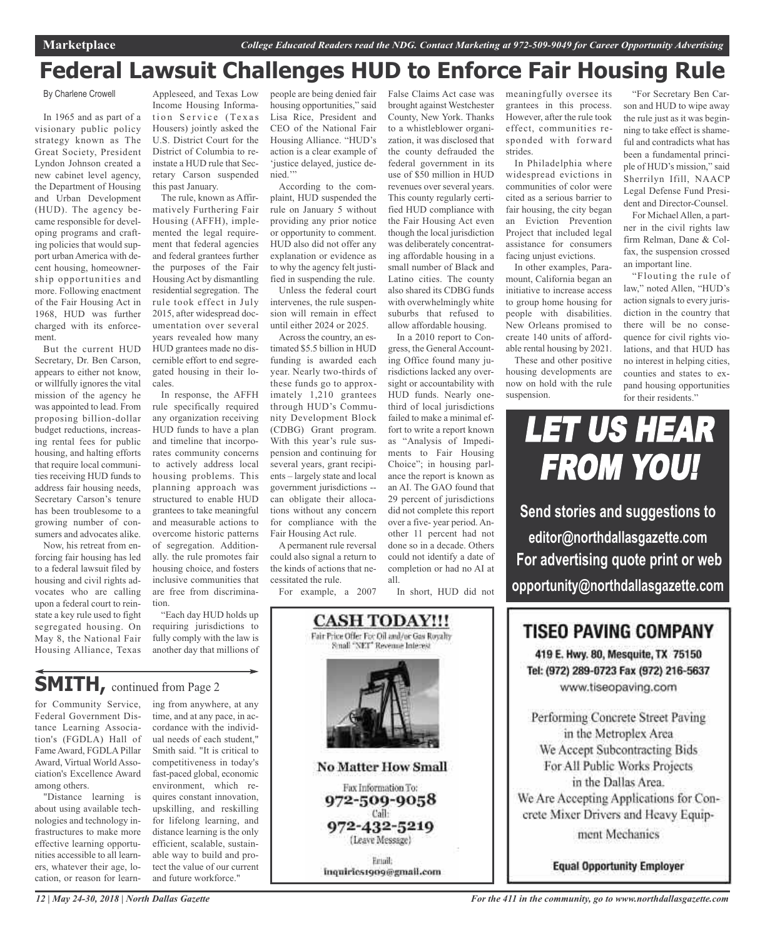## **Federal Lawsuit Challenges HUD to Enforce Fair Housing Rule**

#### By Charlene Crowell

In 1965 and as part of a visionary public policy strategy known as The Great Society, President Lyndon Johnson created a new cabinet level agency, the Department of Housing and Urban Development (HUD). The agency became responsible for developing programs and crafting policies that would support urban America with decent housing, homeownership opportunities and more. Following enactment of the Fair Housing Act in 1968, HUD was further charged with its enforcement.

But the current HUD Secretary, Dr. Ben Carson, appears to either not know, or willfully ignores the vital mission of the agency he was appointed to lead. From proposing billion-dollar budget reductions, increasing rental fees for public housing, and halting efforts that require local communities receiving HUD funds to address fair housing needs, Secretary Carson's tenure has been troublesome to a growing number of consumers and advocates alike.

Now, his retreat from enforcing fair housing has led to a federal lawsuit filed by housing and civil rights advocates who are calling upon a federal court to reinstate a key rule used to fight segregated housing. On May 8, the National Fair Housing Alliance, Texas

Appleseed, and Texas Low Income Housing Information Service (Texas) Housers) jointly asked the U.S. District Court for the District of Columbia to reinstate a HUD rule that Secretary Carson suspended this past January.

The rule, known as Affirmatively Furthering Fair Housing (AFFH), implemented the legal requirement that federal agencies and federal grantees further the purposes of the Fair Housing Act by dismantling residential segregation. The rule took effect in July 2015, after widespread documentation over several years revealed how many HUD grantees made no discernible effort to end segregated housing in their locales.

In response, the AFFH rule specifically required any organization receiving HUD funds to have a plan and timeline that incorporates community concerns to actively address local housing problems. This planning approach was structured to enable HUD grantees to take meaningful and measurable actions to overcome historic patterns of segregation. Additionally. the rule promotes fair housing choice, and fosters inclusive communities that are free from discrimination.

"Each day HUD holds up requiring jurisdictions to fully comply with the law is another day that millions of

**SMITH, continued from Page 2** 

for Community Service, Federal Government Distance Learning Association's (FGDLA) Hall of Fame Award, FGDLA Pillar Award, Virtual World Association's Excellence Award among others.

"Distance learning is about using available technologies and technology infrastructures to make more effective learning opportunities accessible to all learners, whatever their age, location, or reason for learning from anywhere, at any time, and at any pace, in accordance with the individual needs of each student," Smith said. "It is critical to competitiveness in today's fast-paced global, economic environment, which requires constant innovation, upskilling, and reskilling for lifelong learning, and distance learning is the only efficient, scalable, sustainable way to build and protect the value of our current and future workforce."

people are being denied fair housing opportunities," said Lisa Rice, President and CEO of the National Fair Housing Alliance. "HUD's action is a clear example of 'justice delayed, justice denied."

According to the complaint, HUD suspended the rule on January 5 without providing any prior notice or opportunity to comment. HUD also did not offer any explanation or evidence as to why the agency felt justified in suspending the rule.

Unless the federal court intervenes, the rule suspension will remain in effect until either 2024 or 2025.

Across the country, an estimated \$5.5 billion in HUD funding is awarded each year. Nearly two-thirds of these funds go to approximately 1,210 grantees through HUD's Community Development Block (CDBG) Grant program. With this year's rule suspension and continuing for several years, grant recipients – largely state and local government jurisdictions - can obligate their allocations without any concern for compliance with the Fair Housing Act rule.

A permanent rule reversal could also signal a return to the kinds of actions that necessitated the rule.

For example, a 2007

**CASH TODAY!!!** 

False Claims Act case was brought against Westchester County, New York. Thanks to a whistleblower organization, it was disclosed that the county defrauded the federal government in its use of \$50 million in HUD revenues over several years. This county regularly certified HUD compliance with the Fair Housing Act even though the local jurisdiction was deliberately concentrating affordable housing in a small number of Black and Latino cities. The county also shared its CDBG funds with overwhelmingly white suburbs that refused to allow affordable housing.

In a 2010 report to Congress, the General Accounting Office found many jurisdictions lacked any oversight or accountability with HUD funds. Nearly onethird of local jurisdictions failed to make a minimal effort to write a report known as "Analysis of Impediments to Fair Housing Choice"; in housing parlance the report is known as an AI. The GAO found that 29 percent of jurisdictions did not complete this report over a five- year period. Another 11 percent had not done so in a decade. Others could not identify a date of completion or had no AI at all.

In short, HUD did not

meaningfully oversee its grantees in this process. However, after the rule took effect, communities responded with forward strides.

In Philadelphia where widespread evictions in communities of color were cited as a serious barrier to fair housing, the city began an Eviction Prevention Project that included legal assistance for consumers facing unjust evictions.

In other examples, Paramount, California began an initiative to increase access to group home housing for people with disabilities. New Orleans promised to create 140 units of affordable rental housing by 2021.

These and other positive housing developments are now on hold with the rule suspension.

"For Secretary Ben Carson and HUD to wipe away the rule just as it was beginning to take effect is shameful and contradicts what has been a fundamental principle of HUD's mission," said Sherrilyn Ifill, NAACP Legal Defense Fund President and Director-Counsel.

For Michael Allen, a partner in the civil rights law firm Relman, Dane & Colfax, the suspension crossed an important line.

"Flouting the rule of law," noted Allen, "HUD's action signals to every jurisdiction in the country that there will be no consequence for civil rights violations, and that HUD has no interest in helping cities, counties and states to expand housing opportunities for their residents."



**editor@northdallasgazette.com For advertising quote print or web opportunity@northdallasgazette.com**

### **TISEO PAVING COMPANY**

419 E. Hwy. 80, Mesquite, TX 75150 Tel: (972) 289-0723 Fax (972) 216-5637 www.tiseopaving.com

Performing Concrete Street Paving in the Metroplex Area We Accept Subcontracting Bids For All Public Works Projects in the Dallas Area. We Are Accepting Applications for Concrete Mixer Drivers and Heavy Equipment Mechanics

**Equal Opportunity Employer** 

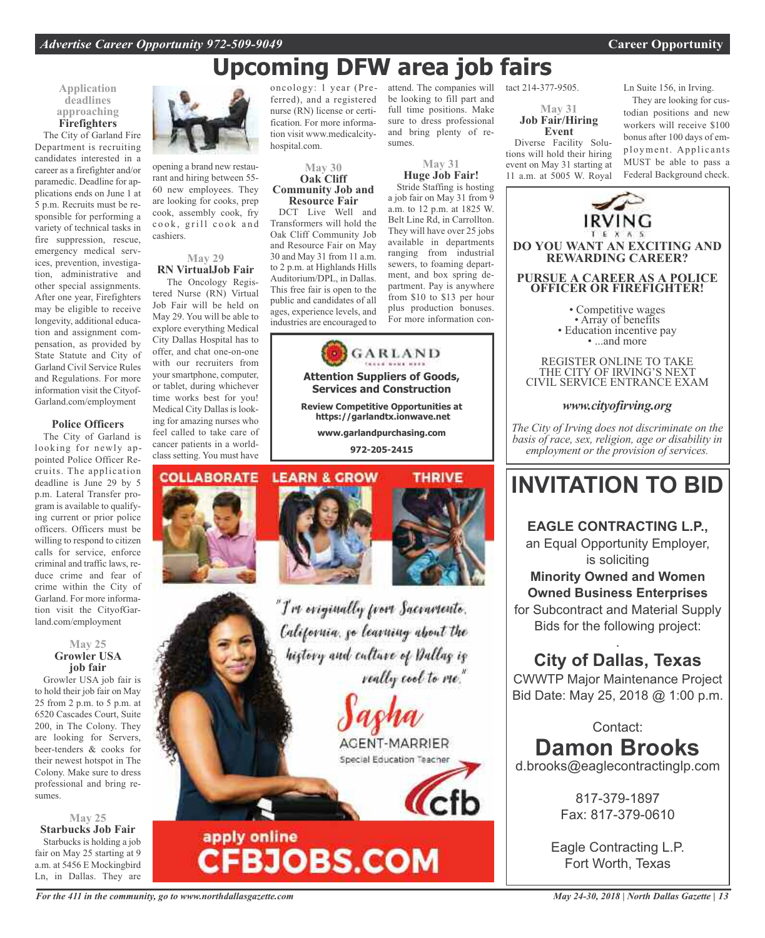## **Upcoming DFW area job fairs**

sumes.

be looking to fill part and full time positions. Make sure to dress professional and bring plenty of re-

**May 31 Huge Job Fair!** Stride Staffing is hosting a job fair on May 31 from 9 a.m. to 12 p.m. at 1825 W. Belt Line Rd, in Carrollton. They will have over 25 jobs available in departments ranging from industrial sewers, to foaming department, and box spring department. Pay is anywhere from \$10 to \$13 per hour plus production bonuses. For more information con-

### **Application deadlines approaching Firefighters**

The City of Garland Fire Department is recruiting candidates interested in a career as a firefighter and/or paramedic. Deadline for applications ends on June 1 at 5 p.m. Recruits must be responsible for performing a variety of technical tasks in fire suppression, rescue, emergency medical services, prevention, investigation, administrative and other special assignments. After one year, Firefighters may be eligible to receive longevity, additional education and assignment compensation, as provided by State Statute and City of Garland Civil Service Rules and Regulations. For more information visit the Cityof-Garland.com/employment

### **Police Officers**

The City of Garland is looking for newly appointed Police Officer Recruits. The application deadline is June 29 by 5 p.m. Lateral Transfer program is available to qualifying current or prior police officers. Officers must be willing to respond to citizen calls for service, enforce criminal and traffic laws, reduce crime and fear of crime within the City of Garland. For more information visit the CityofGarland.com/employment

#### **May 25 Growler USA job fair**

Growler USA job fair is to hold their job fair on May 25 from 2 p.m. to 5 p.m. at 6520 Cascades Court, Suite 200, in The Colony. They are looking for Servers, beer-tenders & cooks for their newest hotspot in The Colony. Make sure to dress professional and bring resumes.

**May 25 Starbucks Job Fair** Starbucks is holding a job fair on May 25 starting at 9 a.m. at 5456 E Mockingbird Ln, in Dallas. They are



opening a brand new restaurant and hiring between 55- 60 new employees. They are looking for cooks, prep cook, assembly cook, fry cook, grill cook and cashiers.

### **May 29 RN VirtualJob Fair**

The Oncology Registered Nurse (RN) Virtual Job Fair will be held on May 29. You will be able to explore everything Medical City Dallas Hospital has to offer, and chat one-on-one with our recruiters from your smartphone, computer, or tablet, during whichever time works best for you! Medical City Dallas is looking for amazing nurses who feel called to take care of cancer patients in a worldclass setting. You must have oncology: 1 year (Preferred), and a registered nurse (RN) license or certification. For more information visit www.medicalcityhospital.com.

#### **May 30 Oak Cliff Community Job and Resource Fair**

DCT Live Well and Transformers will hold the Oak Cliff Community Job and Resource Fair on May 30 and May 31 from 11 a.m. to 2 p.m. at Highlands Hills Auditorium/DPL, in Dallas. This free fair is open to the public and candidates of all ages, experience levels, and industries are encouraged to



### **Attention Suppliers of Goods, Services and Construction**

**Review Competitive Opportunities at https://garlandtx.ionwave.net**

**www.garlandpurchasing.com 972-205-2415**

#### **COLLABORATE LEARN & GROW**





**THRIVE** 

"I've originally from Sacramento. California, go learning about the history and culture of Dallas is really cool to me."

> AGENT-MARRIER Special Education Teacher

attend. The companies will tact 214-377-9505.

### **May 31 Job Fair/Hiring Event**

Diverse Facility Solutions will hold their hiring event on May 31 starting at 11 a.m. at 5005 W. Royal Ln Suite 156, in Irving.

They are looking for custodian positions and new workers will receive \$100 bonus after 100 days of employment. Applicants MUST be able to pass a Federal Background check.



**Minority Owned and Women Owned Business Enterprises**

for Subcontract and Material Supply Bids for the following project:

### . **City of Dallas, Texas**

CWWTP Major Maintenance Project Bid Date: May 25, 2018 @ 1:00 p.m.

Contact: **Damon Brooks** d.brooks@eaglecontractinglp.com

> 817-379-1897 Fax: 817-379-0610

Eagle Contracting L.P. Fort Worth, Texas

apply online

**CFBJOBS.COM**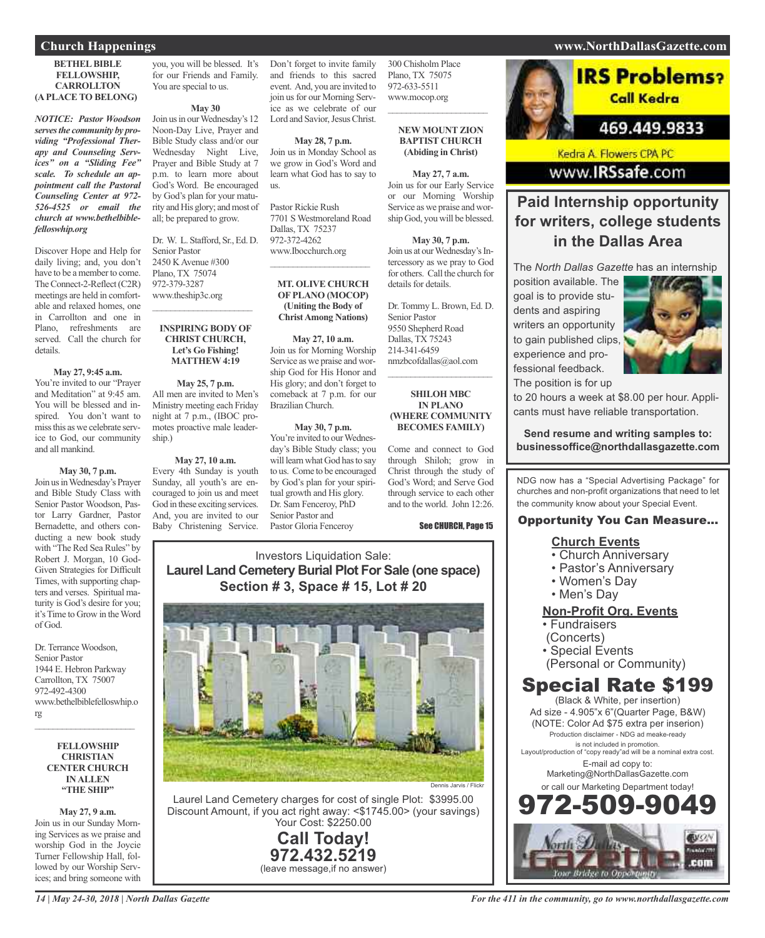#### **BETHEL BIBLE FELLOWSHIP, CARROLLTON (APLACE TO BELONG)**

*NOTICE: Pastor Woodson servesthe community by providing "Professional Therapy and Counseling Services" on a "Sliding Fee" scale. To schedule an appointment call the Pastoral Counseling Center at 972- 526-4525 or email the church at www.bethelbiblefelloswhip.org*

Discover Hope and Help for daily living; and, you don't have to be amemberto come. The Connect-2-Reflect (C2R) meetings are held in comfortable and relaxed homes, one in Carrollton and one in Plano, refreshments are served. Call the church for details.

#### **May 27, 9:45 a.m.**

You're invited to our "Prayer and Meditation" at 9:45 am. You will be blessed and inspired. You don't want to missthis as we celebrate service to God, our community and all mankind.

**May 30, 7 p.m.** Join usinWednesday's Prayer and Bible Study Class with Senior Pastor Woodson, Pastor Larry Gardner, Pastor Bernadette, and others conducting a new book study with "The Red Sea Rules" by Robert J. Morgan, 10 God-Given Strategies for Difficult Times, with supporting chapters and verses. Spiritual maturity is God's desire for you; it'sTime to Grow in theWord

Dr. Terrance Woodson, Senior Pastor 1944 E. Hebron Parkway Carrollton, TX 75007 972-492-4300 www.bethelbiblefelloswhip.o rg

of God.

#### **FELLOWSHIP CHRISTIAN CENTER CHURCH INALLEN "THE SHIP"**

 $\overline{\phantom{a}}$  ,  $\overline{\phantom{a}}$  ,  $\overline{\phantom{a}}$  ,  $\overline{\phantom{a}}$  ,  $\overline{\phantom{a}}$  ,  $\overline{\phantom{a}}$  ,  $\overline{\phantom{a}}$  ,  $\overline{\phantom{a}}$  ,  $\overline{\phantom{a}}$  ,  $\overline{\phantom{a}}$  ,  $\overline{\phantom{a}}$  ,  $\overline{\phantom{a}}$  ,  $\overline{\phantom{a}}$  ,  $\overline{\phantom{a}}$  ,  $\overline{\phantom{a}}$  ,  $\overline{\phantom{a}}$ 

**May 27, 9 a.m.** Join us in our Sunday Morning Services as we praise and worship God in the Joycie Turner Fellowship Hall, followed by our Worship Services; and bring someone with

you, you will be blessed. It's for our Friends and Family. You are special to us.

**May 30**

Join us in our Wednesday's 12 Noon-Day Live, Prayer and Bible Study class and/or our Wednesday Night Live, Prayer and Bible Study at 7 p.m. to learn more about God's Word. Be encouraged by God's plan for your maturity and His glory; and most of all; be prepared to grow.

Dr. W. L. Stafford, Sr., Ed. D. Senior Pastor 2450 KAvenue #300 Plano, TX 75074 972-379-3287 www.theship3c.org

 $\overline{\phantom{a}}$  ,  $\overline{\phantom{a}}$  ,  $\overline{\phantom{a}}$  ,  $\overline{\phantom{a}}$  ,  $\overline{\phantom{a}}$  ,  $\overline{\phantom{a}}$  ,  $\overline{\phantom{a}}$  ,  $\overline{\phantom{a}}$  ,  $\overline{\phantom{a}}$  ,  $\overline{\phantom{a}}$  ,  $\overline{\phantom{a}}$  ,  $\overline{\phantom{a}}$  ,  $\overline{\phantom{a}}$  ,  $\overline{\phantom{a}}$  ,  $\overline{\phantom{a}}$  ,  $\overline{\phantom{a}}$ 

#### **INSPIRING BODYOF CHRIST CHURCH, Let's Go Fishing! MATTHEW 4:19**

**May 25, 7 p.m.** All men are invited to Men's Ministry meeting each Friday night at 7 p.m., (IBOC promotes proactive male leadership.)

#### **May 27, 10 a.m.**

Every 4th Sunday is youth Sunday, all youth's are encouraged to join us and meet God in these exciting services. And, you are invited to our Baby Christening Service.

Don't forget to invite family and friends to this sacred event. And, you are invited to join us for our Morning Service as we celebrate of our Lord and Savior, Jesus Christ.

**May 28, 7 p.m.** Join us in Monday School as we grow in God's Word and learn what God has to say to us.

Pastor Rickie Rush 7701 S Westmoreland Road Dallas, TX 75237 972-372-4262 www.Ibocchurch.org

 $\mathcal{L}_\text{max}$  , we are the set of the set of the set of the set of the set of the set of the set of the set of the set of the set of the set of the set of the set of the set of the set of the set of the set of the set of

#### **MT. OLIVE CHURCH OFPLANO (MOCOP) (Uniting the Body of ChristAmong Nations)**

**May 27, 10 a.m.** Join us for Morning Worship Service as we praise and worship God for His Honor and His glory; and don't forget to comeback at 7 p.m. for our Brazilian Church.

### **May 30, 7 p.m.**

You're invited to our Wednesday's Bible Study class; you will learn what God has to say to us. Come to be encouraged by God's plan for your spiritual growth and His glory. Dr. Sam Fenceroy, PhD Senior Pastor and Pastor Gloria Fenceroy

300 Chisholm Place Plano, TX 75075 972-633-5511 www.mocop.org  $\overline{\phantom{a}}$  ,  $\overline{\phantom{a}}$  ,  $\overline{\phantom{a}}$  ,  $\overline{\phantom{a}}$  ,  $\overline{\phantom{a}}$  ,  $\overline{\phantom{a}}$  ,  $\overline{\phantom{a}}$  ,  $\overline{\phantom{a}}$  ,  $\overline{\phantom{a}}$  ,  $\overline{\phantom{a}}$  ,  $\overline{\phantom{a}}$  ,  $\overline{\phantom{a}}$  ,  $\overline{\phantom{a}}$  ,  $\overline{\phantom{a}}$  ,  $\overline{\phantom{a}}$  ,  $\overline{\phantom{a}}$ 

#### **NEW MOUNT ZION BAPTIST CHURCH (Abiding in Christ)**

**May 27, 7 a.m.** Join us for our Early Service or our Morning Worship Service as we praise and worship God, you will be blessed.

**May 30, 7 p.m.** Join us at our Wednesday's Intercessory as we pray to God for others. Call the church for details for details.

Dr. Tommy L. Brown, Ed. D. Senior Pastor 9550 Shepherd Road Dallas, TX 75243 214-341-6459 nmzbcofdallas@aol.com  $\mathcal{L}_\text{max}$  , where  $\mathcal{L}_\text{max}$  and  $\mathcal{L}_\text{max}$ 

#### **SHILOH MBC IN PLANO (WHERE COMMUNITY BECOMES FAMILY)**

Come and connect to God through Shiloh; grow in Christ through the study of God's Word; and Serve God through service to each other and to the world. John 12:26.

#### See CHURCH, Page 15

Investors Liquidation Sale: **Laurel Land Cemetery Burial Plot For Sale (one space) Section # 3, Space # 15, Lot # 20**



Laurel Land Cemetery charges for cost of single Plot: \$3995.00 Discount Amount, if you act right away: <\$1745.00> (your savings) Your Cost: \$2250.00

> **Call Today! 972.432.5219** (leave message,if no answer)

### 469.449.9833 Kedra A. Flowers CPA PC www.IRSsafe.com

### **Paid Internship opportunity for writers, college students in the Dallas Area**

The *North Dallas Gazette* has an internship

position available. The goal is to provide students and aspiring writers an opportunity to gain published clips, experience and professional feedback. The position is for up



to 20 hours a week at \$8.00 per hour. Applicants must have reliable transportation.

**Send resume and writing samples to: businessoffice@northdallasgazette.com**

NDG now has a "Special Advertising Package" for churches and non-profit organizations that need to let the community know about your Special Event.

### Opportunity You Can Measure...

### **Church Events**

- Church Anniversary
- Pastor's Anniversary
- Women's Day
- Men's Day

### **Non-Profit Org. Events**

- Fundraisers
- (Concerts)
- Special Events
- (Personal or Community)

### Special Rate \$199

(Black & White, per insertion) Ad size - 4.905"x 6"(Quarter Page, B&W) (NOTE: Color Ad \$75 extra per inserion) Production disclaimer - NDG ad meake-ready is not included in promotion. Layout/production of "copy ready"ad will be a nominal extra cost. E-mail ad copy to: Marketing@NorthDallasGazette.com or call our Marketing Department today! 972-509-9049



### **Church Happenings www.NorthDallasGazette.com**

**IRS Problems?** 

Call Kedra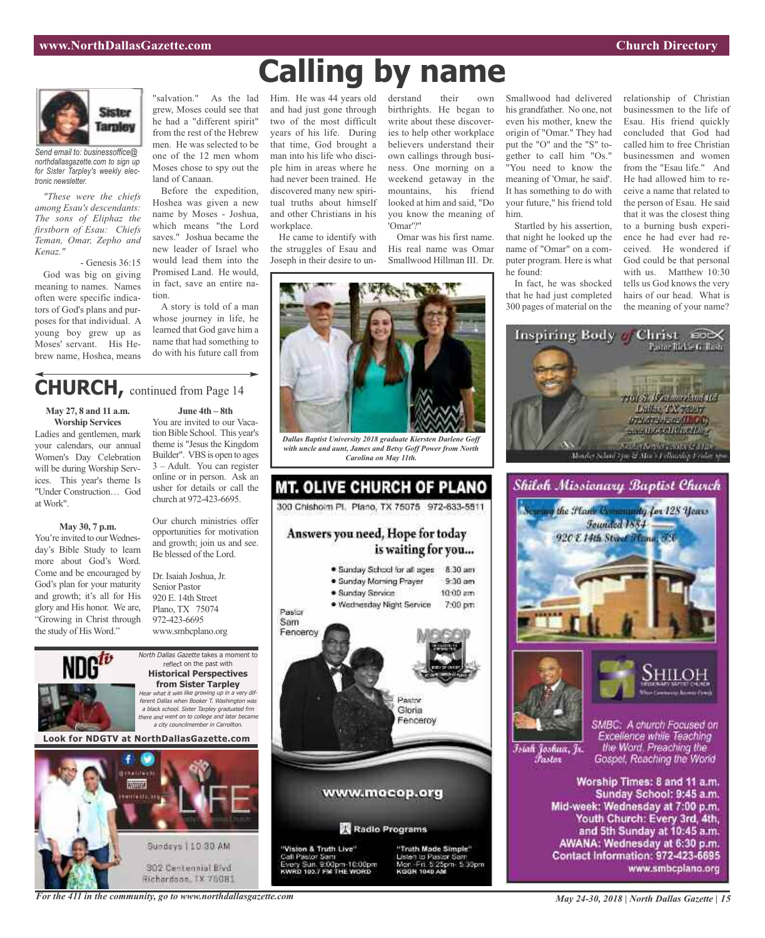

*Send email to: businessoffice@ northdallasgazette.com to sign up for Sister Tarpley's weekly electronic newsletter.*

*"These were the chiefs among Esau's descendants: The sons of Eliphaz the firstborn of Esau: Chiefs Teman, Omar, Zepho and Kenaz."*

- Genesis 36:15

God was big on giving meaning to names. Names often were specific indicators of God's plans and purposes for that individual. A young boy grew up as Moses' servant. His Hebrew name, Hoshea, means

"salvation." As the lad grew, Moses could see that he had a "different spirit" from the rest of the Hebrew men. He was selected to be one of the 12 men whom Moses chose to spy out the land of Canaan.

Before the expedition, Hoshea was given a new name by Moses - Joshua, which means "the Lord saves." Joshua became the new leader of Israel who would lead them into the Promised Land. He would, in fact, save an entire nation.

A story is told of a man whose journey in life, he learned that God gave him a name that had something to do with his future call from

### **CHURCH,** continued from Page <sup>14</sup>

**May 27, 8 and 11 a.m. Worship Services**

Ladies and gentlemen, mark your calendars, our annual Women's Day Celebration will be during Worship Services. This year's theme Is "Under Construction… God at Work".

### **May 30, 7 p.m.**

You're invited to our Wednesday's Bible Study to learn more about God's Word. Come and be encouraged by God's plan for your maturity and growth; it's all for His glory and His honor. We are, "Growing in Christ through the study of His Word."

**June 4th – 8th** You are invited to our Vacation Bible School. This year's

theme is "Jesus the Kingdom Builder". VBS is open to ages 3 – Adult. You can register online or in person. Ask an usher for details or call the church at 972-423-6695.

Our church ministries offer opportunities for motivation and growth; join us and see. Be blessed of the Lord.

Dr. Isaiah Joshua, Jr. Senior Pastor 920 E. 14th Street Plano, TX 75074 972-423-6695 www.smbcplano.org





**Calling by name**

Him. He was 44 years old and had just gone through two of the most difficult years of his life. During that time, God brought a man into his life who disciple him in areas where he had never been trained. He discovered many new spiritual truths about himself and other Christians in his workplace.

He came to identify with the struggles of Esau and Joseph in their desire to un-



*Dallas Baptist University 2018 graduate Kiersten Darlene Goff with uncle and aunt, James and Betsy Goff Power from North Carolina on May 11th.*



derstand their birthrights. He began to write about these discoveries to help other workplace believers understand their own callings through business. One morning on a weekend getaway in the mountains, his friend looked at him and said, "Do you know the meaning of 'Omar'?"

Omar was his first name. His real name was Omar Smallwood Hillman III. Dr.



Startled by his assertion, that night he looked up the name of "Omar" on a computer program. Here is what he found:

In fact, he was shocked that he had just completed 300 pages of material on the

relationship of Christian businessmen to the life of Esau. His friend quickly concluded that God had called him to free Christian businessmen and women from the "Esau life." And He had allowed him to receive a name that related to the person of Esau. He said that it was the closest thing to a burning bush experience he had ever had received. He wondered if God could be that personal with us. Matthew 10:30 tells us God knows the very hairs of our head. What is the meaning of your name?







Īsiah Joshua, Jr. Fustor

SMBC: A church Focused on Excellence while Teaching the Word. Preaching the Gospel, Reaching the World

Worship Times: 8 and 11 a.m. Sunday School: 9:45 a.m. Mid-week: Wednesday at 7:00 p.m. Youth Church: Every 3rd, 4th, and 5th Sunday at 10:45 a.m. AWANA: Wednesday at 6:30 p.m. Contact Information: 972-423-6695 www.smbcplano.org

*For the 411 in the community, go to www.northdallasgazette.com*